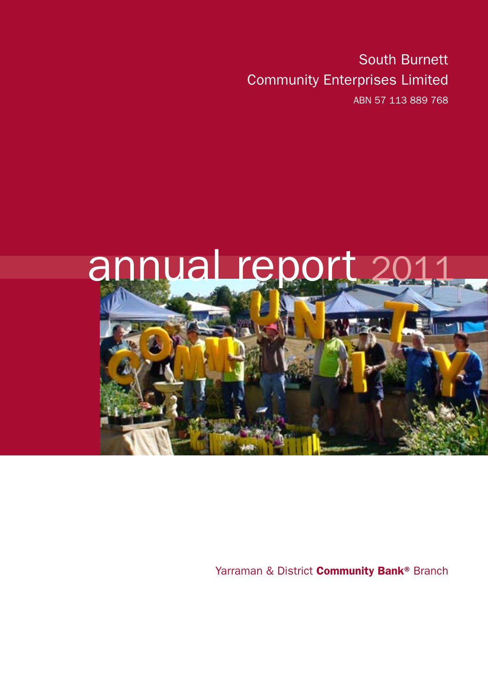South Burnett Community Enterprises Limited ABN 57 113 889 768



Yarraman & District **Community Bank®** Branch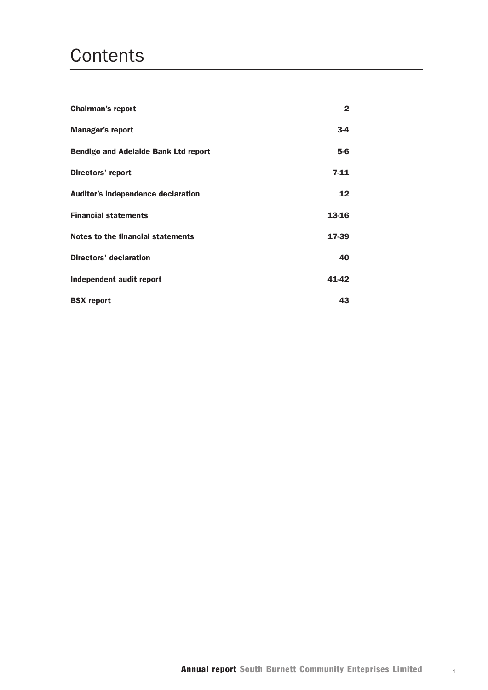# **Contents**

| <b>Chairman's report</b>                    | $\mathbf{2}$ |
|---------------------------------------------|--------------|
| <b>Manager's report</b>                     | $3 - 4$      |
| <b>Bendigo and Adelaide Bank Ltd report</b> | $5-6$        |
| Directors' report                           | $7 - 11$     |
| Auditor's independence declaration          | 12           |
| <b>Financial statements</b>                 | 13-16        |
| Notes to the financial statements           | 17-39        |
| Directors' declaration                      | 40           |
| Independent audit report                    | 41-42        |
| <b>BSX</b> report                           | 43           |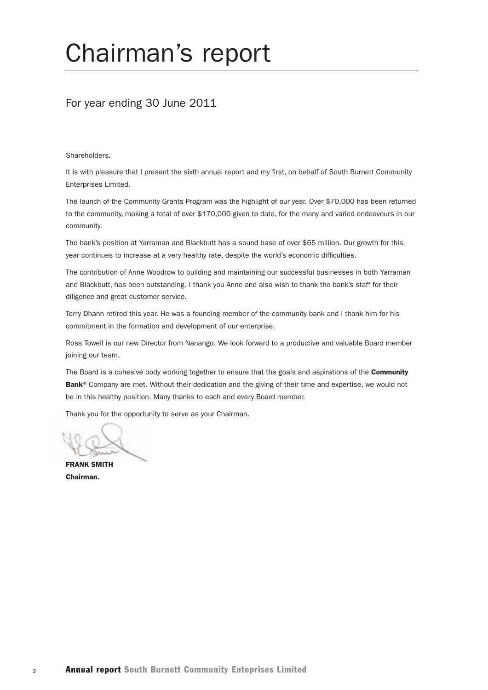# Chairman's report

## For year ending 30 June 2011

Shareholders,

It is with pleasure that I present the sixth annual report and my first, on behalf of South Burnett Community Enterprises Limited.

The launch of the Community Grants Program was the highlight of our year. Over \$70,000 has been returned to the community, making a total of over \$170,000 given to date, for the many and varied endeavours in our community.

The bank's position at Yarraman and Blackbutt has a sound base of over \$65 million. Our growth for this year continues to increase at a very healthy rate, despite the world's economic difficulties.

The contribution of Anne Woodrow to building and maintaining our successful businesses in both Yarraman and Blackbutt, has been outstanding. I thank you Anne and also wish to thank the bank's staff for their diligence and great customer service.

Terry Dhann retired this year. He was a founding member of the community bank and I thank him for his commitment in the formation and development of our enterprise.

Ross Towell is our new Director from Nanango. We look forward to a productive and valuable Board member joining our team.

The Board is a cohesive body working together to ensure that the goals and aspirations of the Community Bank<sup>®</sup> Company are met. Without their dedication and the giving of their time and expertise, we would not be in this healthy position. Many thanks to each and every Board member.

Thank you for the opportunity to serve as your Chairman.

FRANK SMITH Chairman.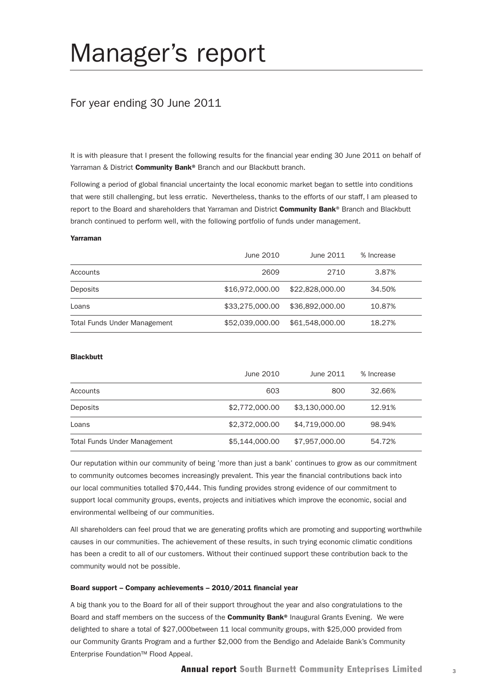# Manager's report

## For year ending 30 June 2011

It is with pleasure that I present the following results for the financial year ending 30 June 2011 on behalf of Yarraman & District Community Bank® Branch and our Blackbutt branch.

Following a period of global financial uncertainty the local economic market began to settle into conditions that were still challenging, but less erratic. Nevertheless, thanks to the efforts of our staff, I am pleased to report to the Board and shareholders that Yarraman and District Community Bank® Branch and Blackbutt branch continued to perform well, with the following portfolio of funds under management.

#### Yarraman

|                                     | June 2010       | June 2011       | % Increase |  |
|-------------------------------------|-----------------|-----------------|------------|--|
| Accounts                            | 2609            | 2710            | 3.87%      |  |
| Deposits                            | \$16.972.000.00 | \$22,828,000.00 | 34.50%     |  |
| Loans                               | \$33,275,000,00 | \$36,892,000.00 | 10.87%     |  |
| <b>Total Funds Under Management</b> | \$52,039,000,00 | \$61,548,000,00 | 18.27%     |  |

#### **Blackbutt**

|                                     | June 2010      | June 2011      | % Increase |  |
|-------------------------------------|----------------|----------------|------------|--|
| Accounts                            | 603            | 800            | 32.66%     |  |
| Deposits                            | \$2,772,000.00 | \$3.130.000.00 | 12.91%     |  |
| Loans                               | \$2,372,000.00 | \$4.719.000.00 | 98.94%     |  |
| <b>Total Funds Under Management</b> | \$5,144,000.00 | \$7,957,000.00 | 54.72%     |  |

Our reputation within our community of being 'more than just a bank' continues to grow as our commitment to community outcomes becomes increasingly prevalent. This year the financial contributions back into our local communities totalled \$70,444. This funding provides strong evidence of our commitment to support local community groups, events, projects and initiatives which improve the economic, social and environmental wellbeing of our communities.

All shareholders can feel proud that we are generating profits which are promoting and supporting worthwhile causes in our communities. The achievement of these results, in such trying economic climatic conditions has been a credit to all of our customers. Without their continued support these contribution back to the community would not be possible.

#### Board support – Company achievements – 2010/2011 financial year

A big thank you to the Board for all of their support throughout the year and also congratulations to the Board and staff members on the success of the **Community Bank**® Inaugural Grants Evening. We were delighted to share a total of \$27,000between 11 local community groups, with \$25,000 provided from our Community Grants Program and a further \$2,000 from the Bendigo and Adelaide Bank's Community Enterprise Foundation™ Flood Appeal.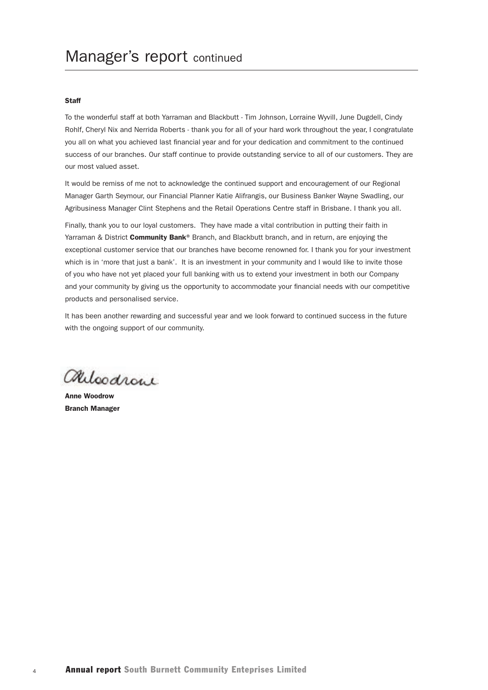#### **Staff**

To the wonderful staff at both Yarraman and Blackbutt - Tim Johnson, Lorraine Wyvill, June Dugdell, Cindy Rohlf, Cheryl Nix and Nerrida Roberts - thank you for all of your hard work throughout the year, I congratulate you all on what you achieved last financial year and for your dedication and commitment to the continued success of our branches. Our staff continue to provide outstanding service to all of our customers. They are our most valued asset.

It would be remiss of me not to acknowledge the continued support and encouragement of our Regional Manager Garth Seymour, our Financial Planner Katie Alifrangis, our Business Banker Wayne Swadling, our Agribusiness Manager Clint Stephens and the Retail Operations Centre staff in Brisbane. I thank you all.

Finally, thank you to our loyal customers. They have made a vital contribution in putting their faith in Yarraman & District Community Bank® Branch, and Blackbutt branch, and in return, are enjoying the exceptional customer service that our branches have become renowned for. I thank you for your investment which is in 'more that just a bank'. It is an investment in your community and I would like to invite those of you who have not yet placed your full banking with us to extend your investment in both our Company and your community by giving us the opportunity to accommodate your financial needs with our competitive products and personalised service.

It has been another rewarding and successful year and we look forward to continued success in the future with the ongoing support of our community.

alloodrone

Anne Woodrow Branch Manager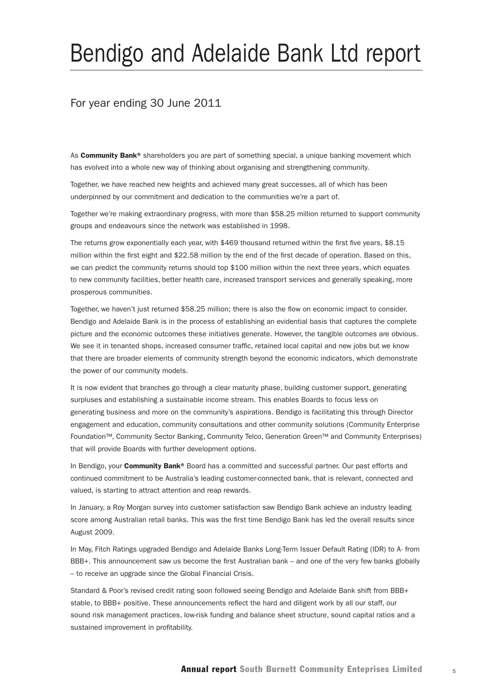# Bendigo and Adelaide Bank Ltd report

## For year ending 30 June 2011

As **Community Bank®** shareholders you are part of something special, a unique banking movement which has evolved into a whole new way of thinking about organising and strengthening community.

Together, we have reached new heights and achieved many great successes, all of which has been underpinned by our commitment and dedication to the communities we're a part of.

Together we're making extraordinary progress, with more than \$58.25 million returned to support community groups and endeavours since the network was established in 1998.

The returns grow exponentially each year, with \$469 thousand returned within the first five years, \$8.15 million within the first eight and \$22.58 million by the end of the first decade of operation. Based on this, we can predict the community returns should top \$100 million within the next three years, which equates to new community facilities, better health care, increased transport services and generally speaking, more prosperous communities.

Together, we haven't just returned \$58.25 million; there is also the flow on economic impact to consider. Bendigo and Adelaide Bank is in the process of establishing an evidential basis that captures the complete picture and the economic outcomes these initiatives generate. However, the tangible outcomes are obvious. We see it in tenanted shops, increased consumer traffic, retained local capital and new jobs but we know that there are broader elements of community strength beyond the economic indicators, which demonstrate the power of our community models.

It is now evident that branches go through a clear maturity phase, building customer support, generating surpluses and establishing a sustainable income stream. This enables Boards to focus less on generating business and more on the community's aspirations. Bendigo is facilitating this through Director engagement and education, community consultations and other community solutions (Community Enterprise Foundation™, Community Sector Banking, Community Telco, Generation Green™ and Community Enterprises) that will provide Boards with further development options.

In Bendigo, your Community Bank® Board has a committed and successful partner. Our past efforts and continued commitment to be Australia's leading customer-connected bank, that is relevant, connected and valued, is starting to attract attention and reap rewards.

In January, a Roy Morgan survey into customer satisfaction saw Bendigo Bank achieve an industry leading score among Australian retail banks. This was the first time Bendigo Bank has led the overall results since August 2009.

In May, Fitch Ratings upgraded Bendigo and Adelaide Banks Long-Term Issuer Default Rating (IDR) to A- from BBB+. This announcement saw us become the first Australian bank – and one of the very few banks globally – to receive an upgrade since the Global Financial Crisis.

Standard & Poor's revised credit rating soon followed seeing Bendigo and Adelaide Bank shift from BBB+ stable, to BBB+ positive. These announcements reflect the hard and diligent work by all our staff, our sound risk management practices, low-risk funding and balance sheet structure, sound capital ratios and a sustained improvement in profitability.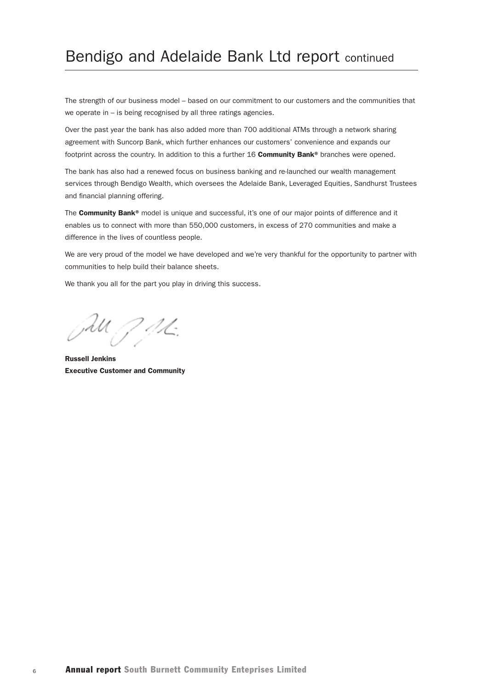# Bendigo and Adelaide Bank Ltd report continued

The strength of our business model – based on our commitment to our customers and the communities that we operate in – is being recognised by all three ratings agencies.

Over the past year the bank has also added more than 700 additional ATMs through a network sharing agreement with Suncorp Bank, which further enhances our customers' convenience and expands our footprint across the country. In addition to this a further 16 **Community Bank®** branches were opened.

The bank has also had a renewed focus on business banking and re-launched our wealth management services through Bendigo Wealth, which oversees the Adelaide Bank, Leveraged Equities, Sandhurst Trustees and financial planning offering.

The **Community Bank®** model is unique and successful, it's one of our major points of difference and it enables us to connect with more than 550,000 customers, in excess of 270 communities and make a difference in the lives of countless people.

We are very proud of the model we have developed and we're very thankful for the opportunity to partner with communities to help build their balance sheets.

We thank you all for the part you play in driving this success.

Jul J. J.K.

Russell Jenkins Executive Customer and Community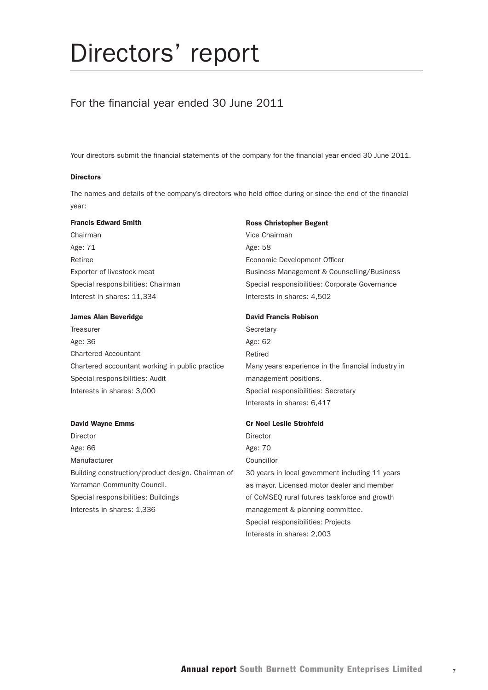# Directors' report

## For the financial year ended 30 June 2011

Your directors submit the financial statements of the company for the financial year ended 30 June 2011.

#### **Directors**

The names and details of the company's directors who held office during or since the end of the financial year:

#### Francis Edward Smith

Chairman Age: 71 Retiree Exporter of livestock meat Special responsibilities: Chairman Interest in shares: 11,334

#### James Alan Beveridge

**Treasurer** Age: 36 Chartered Accountant Chartered accountant working in public practice Special responsibilities: Audit Interests in shares: 3,000

#### David Wayne Emms

Director Age: 66 Manufacturer Building construction/product design. Chairman of Yarraman Community Council. Special responsibilities: Buildings Interests in shares: 1,336

#### Ross Christopher Begent

Vice Chairman Age: 58 Economic Development Officer Business Management & Counselling/Business Special responsibilities: Corporate Governance Interests in shares: 4,502

#### David Francis Robison

**Secretary** Age: 62 Retired Many years experience in the financial industry in management positions. Special responsibilities: Secretary Interests in shares: 6,417

#### Cr Noel Leslie Strohfeld

Director Age: 70 Councillor 30 years in local government including 11 years as mayor. Licensed motor dealer and member of CoMSEQ rural futures taskforce and growth management & planning committee. Special responsibilities: Projects Interests in shares: 2,003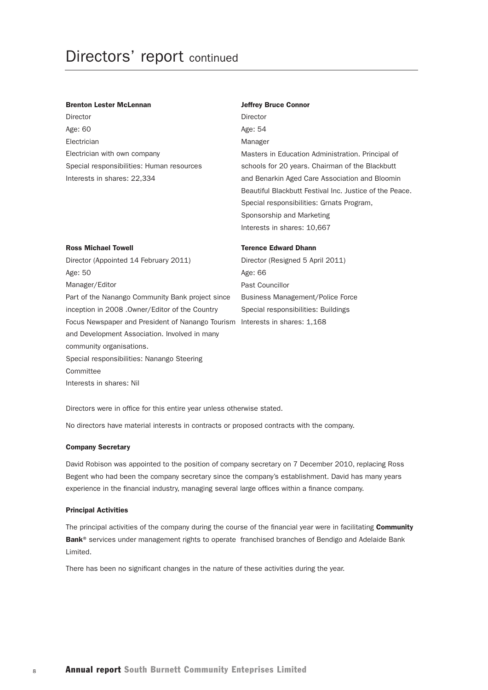#### Brenton Lester McLennan

Director Age: 60 Electrician Electrician with own company Special responsibilities: Human resources Interests in shares: 22,334

#### Jeffrey Bruce Connor

Director Age: 54 Manager Masters in Education Administration. Principal of schools for 20 years. Chairman of the Blackbutt and Benarkin Aged Care Association and Bloomin Beautiful Blackbutt Festival Inc. Justice of the Peace. Special responsibilities: Grnats Program, Sponsorship and Marketing Interests in shares: 10,667

#### Ross Michael Towell

Director (Appointed 14 February 2011) Age: 50 Manager/Editor Part of the Nanango Community Bank project since inception in 2008 .Owner/Editor of the Country Focus Newspaper and President of Nanango Tourism Interests in shares: 1,168 and Development Association. Involved in many community organisations. Special responsibilities: Nanango Steering Committee Interests in shares: Nil

#### Terence Edward Dhann

Director (Resigned 5 April 2011) Age: 66 Past Councillor Business Management/Police Force Special responsibilities: Buildings

Directors were in office for this entire year unless otherwise stated.

No directors have material interests in contracts or proposed contracts with the company.

#### Company Secretary

David Robison was appointed to the position of company secretary on 7 December 2010, replacing Ross Begent who had been the company secretary since the company's establishment. David has many years experience in the financial industry, managing several large offices within a finance company.

#### Principal Activities

The principal activities of the company during the course of the financial year were in facilitating Community Bank® services under management rights to operate franchised branches of Bendigo and Adelaide Bank Limited.

There has been no significant changes in the nature of these activities during the year.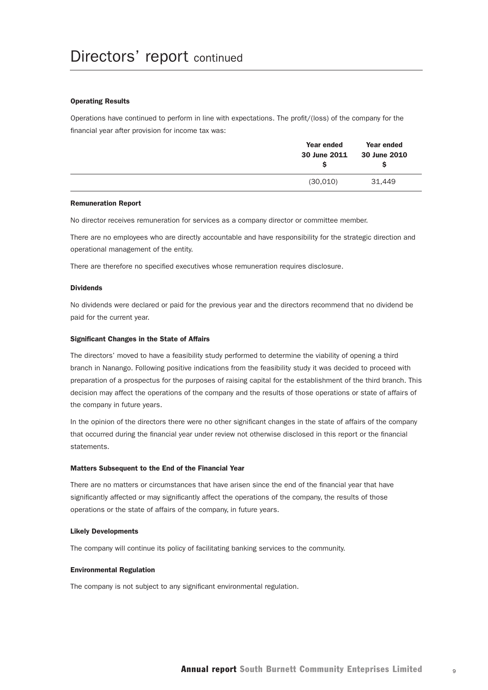#### Operating Results

Operations have continued to perform in line with expectations. The profit/(loss) of the company for the financial year after provision for income tax was:

| Year ended<br>30 June 2011 | Year ended<br>30 June 2010 |
|----------------------------|----------------------------|
| (30,010)                   | 31.449                     |

#### Remuneration Report

No director receives remuneration for services as a company director or committee member.

There are no employees who are directly accountable and have responsibility for the strategic direction and operational management of the entity.

There are therefore no specified executives whose remuneration requires disclosure.

#### Dividends

No dividends were declared or paid for the previous year and the directors recommend that no dividend be paid for the current year.

#### Significant Changes in the State of Affairs

The directors' moved to have a feasibility study performed to determine the viability of opening a third branch in Nanango. Following positive indications from the feasibility study it was decided to proceed with preparation of a prospectus for the purposes of raising capital for the establishment of the third branch. This decision may affect the operations of the company and the results of those operations or state of affairs of the company in future years.

In the opinion of the directors there were no other significant changes in the state of affairs of the company that occurred during the financial year under review not otherwise disclosed in this report or the financial statements.

#### Matters Subsequent to the End of the Financial Year

There are no matters or circumstances that have arisen since the end of the financial year that have significantly affected or may significantly affect the operations of the company, the results of those operations or the state of affairs of the company, in future years.

#### Likely Developments

The company will continue its policy of facilitating banking services to the community.

#### Environmental Regulation

The company is not subject to any significant environmental regulation.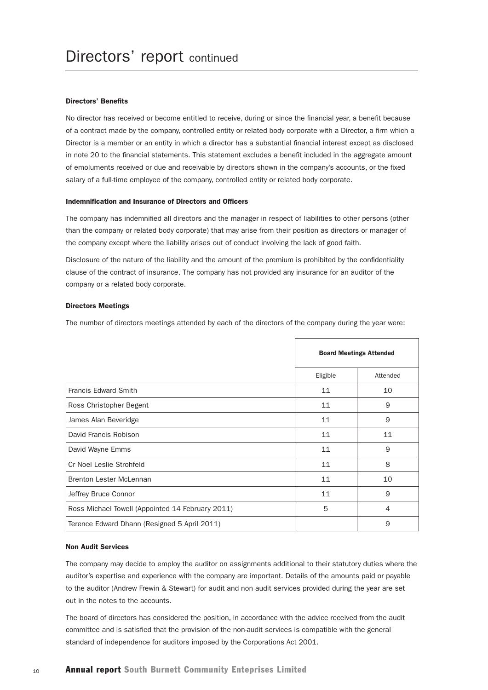#### Directors' Benefits

No director has received or become entitled to receive, during or since the financial year, a benefit because of a contract made by the company, controlled entity or related body corporate with a Director, a firm which a Director is a member or an entity in which a director has a substantial financial interest except as disclosed in note 20 to the financial statements. This statement excludes a benefit included in the aggregate amount of emoluments received or due and receivable by directors shown in the company's accounts, or the fixed salary of a full-time employee of the company, controlled entity or related body corporate.

#### Indemnification and Insurance of Directors and Officers

The company has indemnified all directors and the manager in respect of liabilities to other persons (other than the company or related body corporate) that may arise from their position as directors or manager of the company except where the liability arises out of conduct involving the lack of good faith.

Disclosure of the nature of the liability and the amount of the premium is prohibited by the confidentiality clause of the contract of insurance. The company has not provided any insurance for an auditor of the company or a related body corporate.

#### Directors Meetings

The number of directors meetings attended by each of the directors of the company during the year were:

|                                                  |          | <b>Board Meetings Attended</b> |
|--------------------------------------------------|----------|--------------------------------|
|                                                  | Eligible | Attended                       |
| Francis Edward Smith                             | 11       | 10                             |
| Ross Christopher Begent                          | 11       | 9                              |
| James Alan Beveridge                             | 11       | 9                              |
| David Francis Robison                            | 11       | 11                             |
| David Wayne Emms                                 | 11       | 9                              |
| Cr Noel Leslie Strohfeld                         | 11       | 8                              |
| Brenton Lester McLennan                          | 11       | 10                             |
| Jeffrey Bruce Connor                             | 11       | 9                              |
| Ross Michael Towell (Appointed 14 February 2011) | 5        | 4                              |
| Terence Edward Dhann (Resigned 5 April 2011)     |          | 9                              |

#### Non Audit Services

The company may decide to employ the auditor on assignments additional to their statutory duties where the auditor's expertise and experience with the company are important. Details of the amounts paid or payable to the auditor (Andrew Frewin & Stewart) for audit and non audit services provided during the year are set out in the notes to the accounts.

The board of directors has considered the position, in accordance with the advice received from the audit committee and is satisfied that the provision of the non-audit services is compatible with the general standard of independence for auditors imposed by the Corporations Act 2001.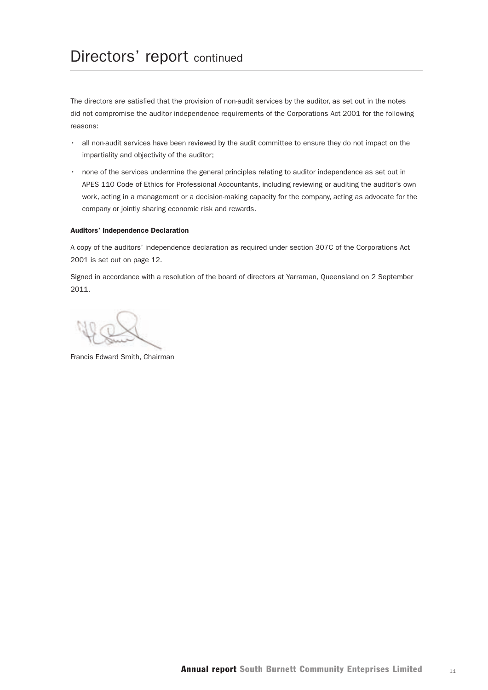# Directors' report continued

The directors are satisfied that the provision of non-audit services by the auditor, as set out in the notes did not compromise the auditor independence requirements of the Corporations Act 2001 for the following reasons:

- all non-audit services have been reviewed by the audit committee to ensure they do not impact on the impartiality and objectivity of the auditor;
- none of the services undermine the general principles relating to auditor independence as set out in APES 110 Code of Ethics for Professional Accountants, including reviewing or auditing the auditor's own work, acting in a management or a decision-making capacity for the company, acting as advocate for the company or jointly sharing economic risk and rewards.

#### Auditors' Independence Declaration

A copy of the auditors' independence declaration as required under section 307C of the Corporations Act 2001 is set out on page 12.

Signed in accordance with a resolution of the board of directors at Yarraman, Queensland on 2 September 2011.

Francis Edward Smith, Chairman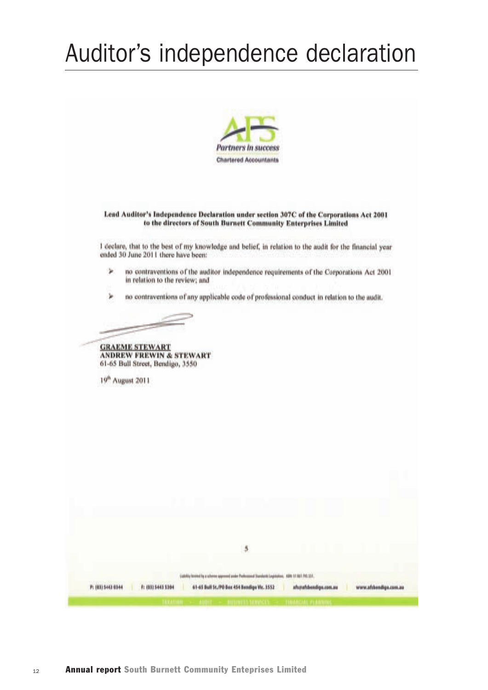# Auditor's independence declaration



#### Lead Auditor's Independence Declaration under section 307C of the Corporations Act 2001 to the directors of South Burnett Community Enterprises Limited

I declare, that to the best of my knowledge and belief, in relation to the audit for the financial year ended 30 June 2011 there have been:

- ×. no contraventions of the auditor independence requirements of the Corporations Act 2001 in relation to the review; and
- ٠ no contraventions of any applicable code of professional conduct in relation to the audit.

**GRAEME STEWART** 

**ANDREW FREWIN & STEWART** 61-65 Bull Street, Bendigo, 3550

19<sup>th</sup> August 2011

|  |          |  | $\frac{3}{2}$                                                                                                                          |      |                   |    |                    |
|--|----------|--|----------------------------------------------------------------------------------------------------------------------------------------|------|-------------------|----|--------------------|
|  |          |  |                                                                                                                                        |      |                   |    |                    |
|  | スマッチストアル |  | <b>Statistic foremed by a scheme approved under Professional Disorderes Lagistation</b><br>61-65 Bull 5t./PO Box 454 Bendigo Vir. 3552 | atua | afsbendige.com.au | WW | afshendlige.com.au |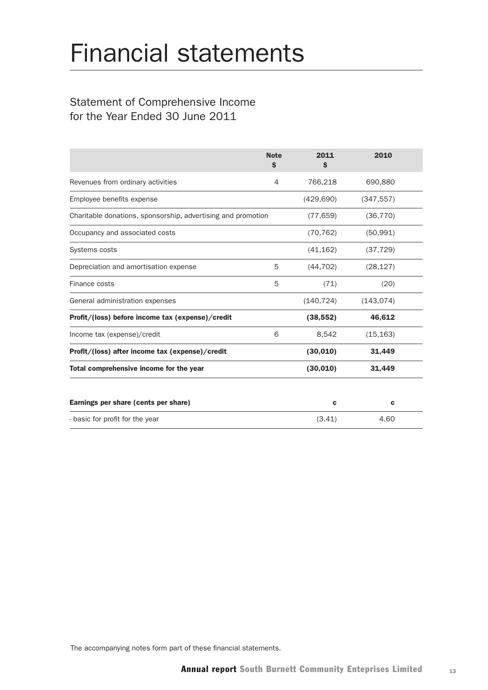# Financial statements

## Statement of Comprehensive Income for the Year Ended 30 June 2011

|                                                              | <b>Note</b><br>\$ | 2011<br>\$  | 2010        |  |
|--------------------------------------------------------------|-------------------|-------------|-------------|--|
| Revenues from ordinary activities                            | 4                 | 766,218     | 690,880     |  |
| Employee benefits expense                                    |                   | (429, 690)  | (347, 557)  |  |
| Charitable donations, sponsorship, advertising and promotion |                   | (77, 659)   | (36, 770)   |  |
| Occupancy and associated costs                               |                   | (70, 762)   | (50, 991)   |  |
| Systems costs                                                |                   | (41, 162)   | (37, 729)   |  |
| Depreciation and amortisation expense                        | 5                 | (44, 702)   | (28, 127)   |  |
| Finance costs                                                | 5                 | (71)        | (20)        |  |
| General administration expenses                              |                   | (140, 724)  | (143, 074)  |  |
| Profit/(loss) before income tax (expense)/credit             |                   | (38, 552)   | 46,612      |  |
| Income tax (expense)/credit                                  | 6                 | 8,542       | (15, 163)   |  |
| Profit/(loss) after income tax (expense)/credit              |                   | (30, 010)   | 31,449      |  |
| Total comprehensive income for the year                      |                   | (30,010)    | 31,449      |  |
|                                                              |                   |             |             |  |
| Earnings per share (cents per share)                         |                   | $\mathbf c$ | $\mathbf c$ |  |
| - basic for profit for the year                              |                   | (3.41)      | 4.60        |  |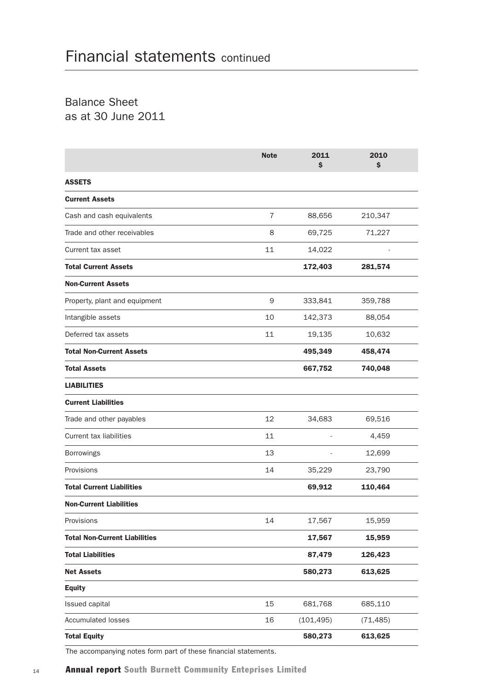Balance Sheet as at 30 June 2011

|                                      | <b>Note</b>    | 2011<br>\$ | 2010<br>\$ |  |
|--------------------------------------|----------------|------------|------------|--|
| <b>ASSETS</b>                        |                |            |            |  |
| <b>Current Assets</b>                |                |            |            |  |
| Cash and cash equivalents            | $\overline{7}$ | 88,656     | 210,347    |  |
| Trade and other receivables          | 8              | 69,725     | 71,227     |  |
| Current tax asset                    | 11             | 14,022     |            |  |
| <b>Total Current Assets</b>          |                | 172,403    | 281,574    |  |
| <b>Non-Current Assets</b>            |                |            |            |  |
| Property, plant and equipment        | 9              | 333,841    | 359,788    |  |
| Intangible assets                    | 10             | 142,373    | 88,054     |  |
| Deferred tax assets                  | 11             | 19,135     | 10,632     |  |
| <b>Total Non-Current Assets</b>      |                | 495,349    | 458,474    |  |
| <b>Total Assets</b>                  |                | 667,752    | 740,048    |  |
| <b>LIABILITIES</b>                   |                |            |            |  |
| <b>Current Liabilities</b>           |                |            |            |  |
| Trade and other payables             | 12             | 34,683     | 69,516     |  |
| <b>Current tax liabilities</b>       | 11             |            | 4,459      |  |
| Borrowings                           | 13             |            | 12,699     |  |
| Provisions                           | 14             | 35,229     | 23,790     |  |
| <b>Total Current Liabilities</b>     |                | 69,912     | 110,464    |  |
| <b>Non-Current Liabilities</b>       |                |            |            |  |
| Provisions                           | 14             | 17,567     | 15,959     |  |
| <b>Total Non-Current Liabilities</b> |                | 17,567     | 15,959     |  |
| <b>Total Liabilities</b>             |                | 87,479     | 126,423    |  |
| <b>Net Assets</b>                    |                | 580,273    | 613,625    |  |
| <b>Equity</b>                        |                |            |            |  |
| Issued capital                       | 15             | 681,768    | 685,110    |  |
| <b>Accumulated losses</b>            | 16             | (101, 495) | (71, 485)  |  |
| <b>Total Equity</b>                  |                | 580,273    | 613,625    |  |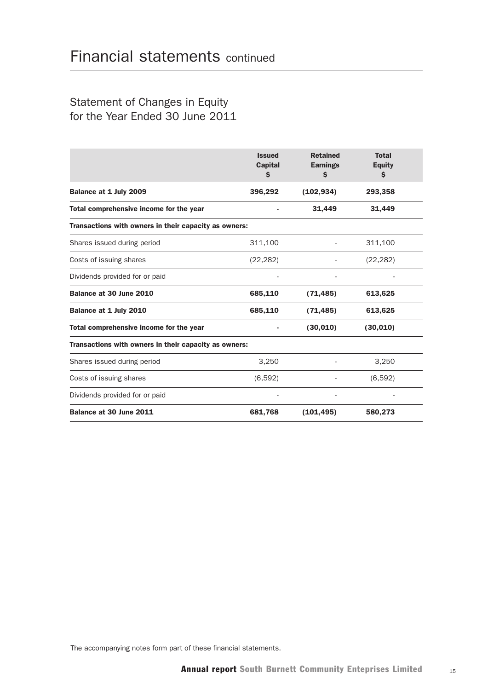## Statement of Changes in Equity for the Year Ended 30 June 2011

|                                                       | <b>Issued</b><br><b>Capital</b><br>\$ | <b>Retained</b><br><b>Earnings</b><br>\$ | <b>Total</b><br><b>Equity</b><br>$\mathsf{s}$ |  |  |
|-------------------------------------------------------|---------------------------------------|------------------------------------------|-----------------------------------------------|--|--|
| Balance at 1 July 2009                                | 396,292                               | (102, 934)                               | 293,358                                       |  |  |
| Total comprehensive income for the year               |                                       | 31,449                                   | 31,449                                        |  |  |
| Transactions with owners in their capacity as owners: |                                       |                                          |                                               |  |  |
| Shares issued during period                           | 311,100                               |                                          | 311,100                                       |  |  |
| Costs of issuing shares                               | (22, 282)                             |                                          | (22, 282)                                     |  |  |
| Dividends provided for or paid                        |                                       |                                          |                                               |  |  |
| Balance at 30 June 2010                               | 685,110                               | (71, 485)                                | 613,625                                       |  |  |
| Balance at 1 July 2010                                | 685,110                               | (71, 485)                                | 613,625                                       |  |  |
| Total comprehensive income for the year               |                                       | (30, 010)                                | (30,010)                                      |  |  |
| Transactions with owners in their capacity as owners: |                                       |                                          |                                               |  |  |
| Shares issued during period                           | 3,250                                 |                                          | 3.250                                         |  |  |
| Costs of issuing shares                               | (6,592)                               |                                          | (6,592)                                       |  |  |
| Dividends provided for or paid                        |                                       |                                          |                                               |  |  |
| Balance at 30 June 2011                               | 681,768                               | (101, 495)                               | 580,273                                       |  |  |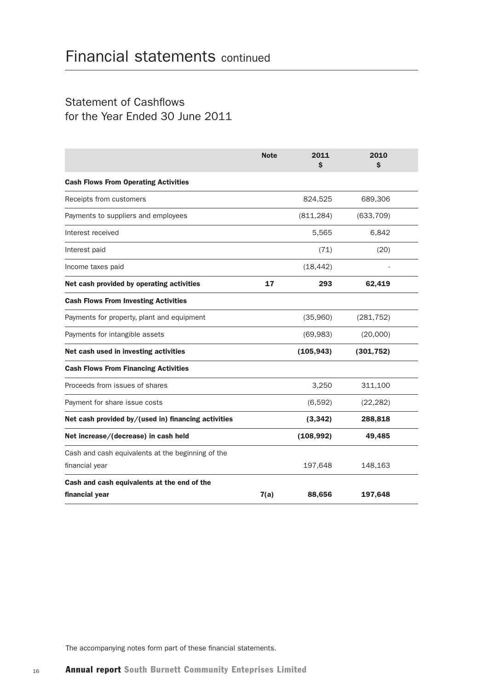## Statement of Cashflows for the Year Ended 30 June 2011

|                                                     | <b>Note</b> | 2011<br>\$ | 2010<br>\$ |  |
|-----------------------------------------------------|-------------|------------|------------|--|
| <b>Cash Flows From Operating Activities</b>         |             |            |            |  |
| Receipts from customers                             |             | 824,525    | 689,306    |  |
| Payments to suppliers and employees                 |             | (811, 284) | (633, 709) |  |
| Interest received                                   |             | 5,565      | 6,842      |  |
| Interest paid                                       |             | (71)       | (20)       |  |
| Income taxes paid                                   |             | (18, 442)  |            |  |
| Net cash provided by operating activities           | 17          | 293        | 62,419     |  |
| <b>Cash Flows From Investing Activities</b>         |             |            |            |  |
| Payments for property, plant and equipment          |             | (35,960)   | (281, 752) |  |
| Payments for intangible assets                      |             | (69, 983)  | (20,000)   |  |
| Net cash used in investing activities               |             | (105, 943) | (301, 752) |  |
| <b>Cash Flows From Financing Activities</b>         |             |            |            |  |
| Proceeds from issues of shares                      |             | 3,250      | 311,100    |  |
| Payment for share issue costs                       |             | (6, 592)   | (22, 282)  |  |
| Net cash provided by/(used in) financing activities |             | (3, 342)   | 288,818    |  |
| Net increase/(decrease) in cash held                |             | (108, 992) | 49,485     |  |
| Cash and cash equivalents at the beginning of the   |             |            |            |  |
| financial year                                      |             | 197,648    | 148,163    |  |
| Cash and cash equivalents at the end of the         |             |            |            |  |
| financial year                                      | 7(a)        | 88,656     | 197,648    |  |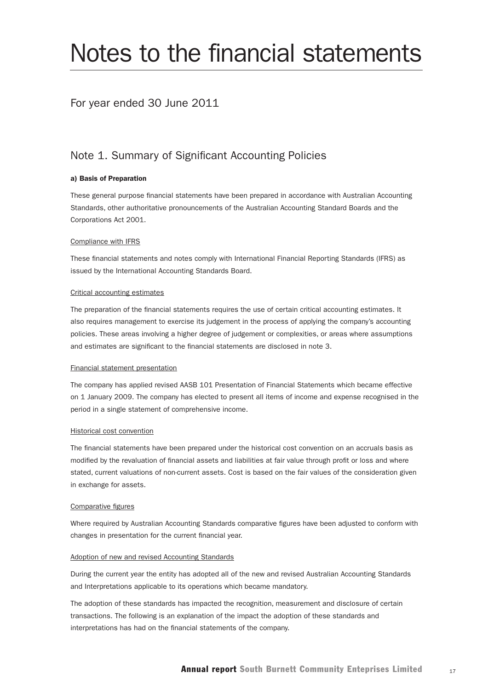# Notes to the financial statements

## For year ended 30 June 2011

## Note 1. Summary of Significant Accounting Policies

#### a) Basis of Preparation

These general purpose financial statements have been prepared in accordance with Australian Accounting Standards, other authoritative pronouncements of the Australian Accounting Standard Boards and the Corporations Act 2001.

#### Compliance with IFRS

These financial statements and notes comply with International Financial Reporting Standards (IFRS) as issued by the International Accounting Standards Board.

#### Critical accounting estimates

The preparation of the financial statements requires the use of certain critical accounting estimates. It also requires management to exercise its judgement in the process of applying the company's accounting policies. These areas involving a higher degree of judgement or complexities, or areas where assumptions and estimates are significant to the financial statements are disclosed in note 3.

#### Financial statement presentation

The company has applied revised AASB 101 Presentation of Financial Statements which became effective on 1 January 2009. The company has elected to present all items of income and expense recognised in the period in a single statement of comprehensive income.

#### Historical cost convention

The financial statements have been prepared under the historical cost convention on an accruals basis as modified by the revaluation of financial assets and liabilities at fair value through profit or loss and where stated, current valuations of non-current assets. Cost is based on the fair values of the consideration given in exchange for assets.

#### Comparative figures

Where required by Australian Accounting Standards comparative figures have been adjusted to conform with changes in presentation for the current financial year.

#### Adoption of new and revised Accounting Standards

During the current year the entity has adopted all of the new and revised Australian Accounting Standards and Interpretations applicable to its operations which became mandatory.

The adoption of these standards has impacted the recognition, measurement and disclosure of certain transactions. The following is an explanation of the impact the adoption of these standards and interpretations has had on the financial statements of the company.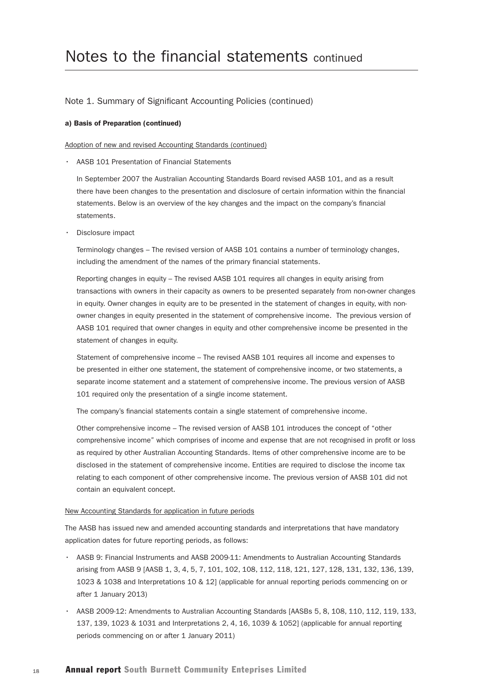#### a) Basis of Preparation (continued)

Adoption of new and revised Accounting Standards (continued)

• AASB 101 Presentation of Financial Statements

 In September 2007 the Australian Accounting Standards Board revised AASB 101, and as a result there have been changes to the presentation and disclosure of certain information within the financial statements. Below is an overview of the key changes and the impact on the company's financial statements.

• Disclosure impact

 Terminology changes – The revised version of AASB 101 contains a number of terminology changes, including the amendment of the names of the primary financial statements.

 Reporting changes in equity – The revised AASB 101 requires all changes in equity arising from transactions with owners in their capacity as owners to be presented separately from non-owner changes in equity. Owner changes in equity are to be presented in the statement of changes in equity, with nonowner changes in equity presented in the statement of comprehensive income. The previous version of AASB 101 required that owner changes in equity and other comprehensive income be presented in the statement of changes in equity.

 Statement of comprehensive income – The revised AASB 101 requires all income and expenses to be presented in either one statement, the statement of comprehensive income, or two statements, a separate income statement and a statement of comprehensive income. The previous version of AASB 101 required only the presentation of a single income statement.

The company's financial statements contain a single statement of comprehensive income.

 Other comprehensive income – The revised version of AASB 101 introduces the concept of "other comprehensive income" which comprises of income and expense that are not recognised in profit or loss as required by other Australian Accounting Standards. Items of other comprehensive income are to be disclosed in the statement of comprehensive income. Entities are required to disclose the income tax relating to each component of other comprehensive income. The previous version of AASB 101 did not contain an equivalent concept.

#### New Accounting Standards for application in future periods

The AASB has issued new and amended accounting standards and interpretations that have mandatory application dates for future reporting periods, as follows:

- AASB 9: Financial Instruments and AASB 2009-11: Amendments to Australian Accounting Standards arising from AASB 9 [AASB 1, 3, 4, 5, 7, 101, 102, 108, 112, 118, 121, 127, 128, 131, 132, 136, 139, 1023 & 1038 and Interpretations 10 & 12] (applicable for annual reporting periods commencing on or after 1 January 2013)
- AASB 2009-12: Amendments to Australian Accounting Standards [AASBs 5, 8, 108, 110, 112, 119, 133, 137, 139, 1023 & 1031 and Interpretations 2, 4, 16, 1039 & 1052] (applicable for annual reporting periods commencing on or after 1 January 2011)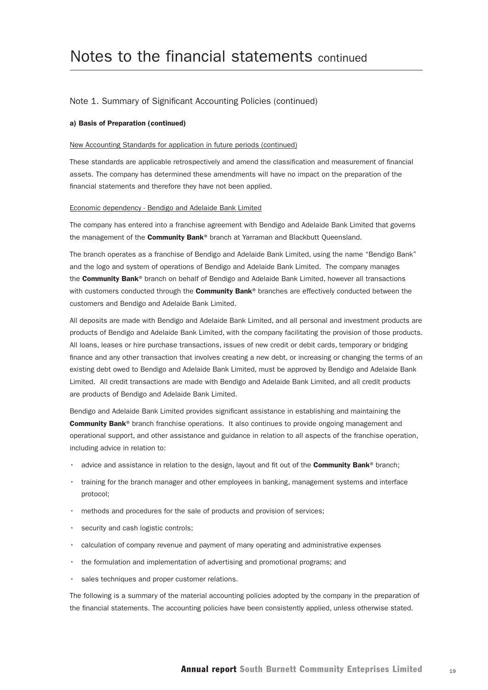#### a) Basis of Preparation (continued)

#### New Accounting Standards for application in future periods (continued)

These standards are applicable retrospectively and amend the classification and measurement of financial assets. The company has determined these amendments will have no impact on the preparation of the financial statements and therefore they have not been applied.

#### Economic dependency - Bendigo and Adelaide Bank Limited

The company has entered into a franchise agreement with Bendigo and Adelaide Bank Limited that governs the management of the **Community Bank®** branch at Yarraman and Blackbutt Queensland.

The branch operates as a franchise of Bendigo and Adelaide Bank Limited, using the name "Bendigo Bank" and the logo and system of operations of Bendigo and Adelaide Bank Limited. The company manages the Community Bank® branch on behalf of Bendigo and Adelaide Bank Limited, however all transactions with customers conducted through the **Community Bank®** branches are effectively conducted between the customers and Bendigo and Adelaide Bank Limited.

All deposits are made with Bendigo and Adelaide Bank Limited, and all personal and investment products are products of Bendigo and Adelaide Bank Limited, with the company facilitating the provision of those products. All loans, leases or hire purchase transactions, issues of new credit or debit cards, temporary or bridging finance and any other transaction that involves creating a new debt, or increasing or changing the terms of an existing debt owed to Bendigo and Adelaide Bank Limited, must be approved by Bendigo and Adelaide Bank Limited. All credit transactions are made with Bendigo and Adelaide Bank Limited, and all credit products are products of Bendigo and Adelaide Bank Limited.

Bendigo and Adelaide Bank Limited provides significant assistance in establishing and maintaining the **Community Bank®** branch franchise operations. It also continues to provide ongoing management and operational support, and other assistance and guidance in relation to all aspects of the franchise operation, including advice in relation to:

- advice and assistance in relation to the design, layout and fit out of the **Community Bank**® branch;
- training for the branch manager and other employees in banking, management systems and interface protocol;
- methods and procedures for the sale of products and provision of services;
- security and cash logistic controls;
- calculation of company revenue and payment of many operating and administrative expenses
- the formulation and implementation of advertising and promotional programs; and
- sales techniques and proper customer relations.

The following is a summary of the material accounting policies adopted by the company in the preparation of the financial statements. The accounting policies have been consistently applied, unless otherwise stated.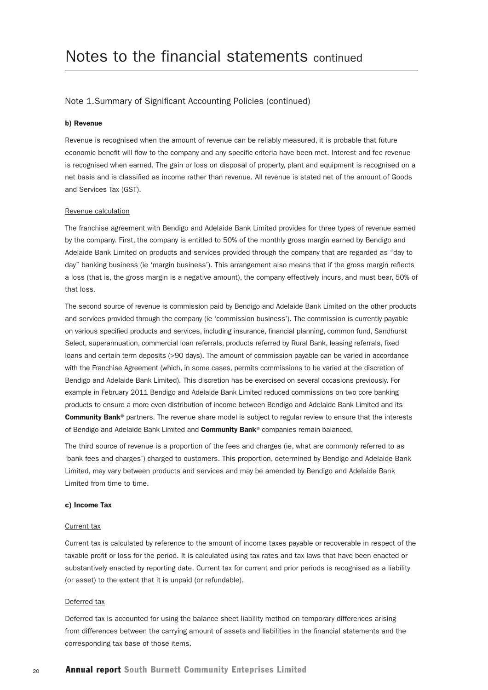#### b) Revenue

Revenue is recognised when the amount of revenue can be reliably measured, it is probable that future economic benefit will flow to the company and any specific criteria have been met. Interest and fee revenue is recognised when earned. The gain or loss on disposal of property, plant and equipment is recognised on a net basis and is classified as income rather than revenue. All revenue is stated net of the amount of Goods and Services Tax (GST).

#### Revenue calculation

The franchise agreement with Bendigo and Adelaide Bank Limited provides for three types of revenue earned by the company. First, the company is entitled to 50% of the monthly gross margin earned by Bendigo and Adelaide Bank Limited on products and services provided through the company that are regarded as "day to day" banking business (ie 'margin business'). This arrangement also means that if the gross margin reflects a loss (that is, the gross margin is a negative amount), the company effectively incurs, and must bear, 50% of that loss.

The second source of revenue is commission paid by Bendigo and Adelaide Bank Limited on the other products and services provided through the company (ie 'commission business'). The commission is currently payable on various specified products and services, including insurance, financial planning, common fund, Sandhurst Select, superannuation, commercial loan referrals, products referred by Rural Bank, leasing referrals, fixed loans and certain term deposits (>90 days). The amount of commission payable can be varied in accordance with the Franchise Agreement (which, in some cases, permits commissions to be varied at the discretion of Bendigo and Adelaide Bank Limited). This discretion has be exercised on several occasions previously. For example in February 2011 Bendigo and Adelaide Bank Limited reduced commissions on two core banking products to ensure a more even distribution of income between Bendigo and Adelaide Bank Limited and its Community Bank® partners. The revenue share model is subject to regular review to ensure that the interests of Bendigo and Adelaide Bank Limited and Community Bank® companies remain balanced.

The third source of revenue is a proportion of the fees and charges (ie, what are commonly referred to as 'bank fees and charges') charged to customers. This proportion, determined by Bendigo and Adelaide Bank Limited, may vary between products and services and may be amended by Bendigo and Adelaide Bank Limited from time to time.

#### c) Income Tax

#### Current tax

Current tax is calculated by reference to the amount of income taxes payable or recoverable in respect of the taxable profit or loss for the period. It is calculated using tax rates and tax laws that have been enacted or substantively enacted by reporting date. Current tax for current and prior periods is recognised as a liability (or asset) to the extent that it is unpaid (or refundable).

#### Deferred tax

Deferred tax is accounted for using the balance sheet liability method on temporary differences arising from differences between the carrying amount of assets and liabilities in the financial statements and the corresponding tax base of those items.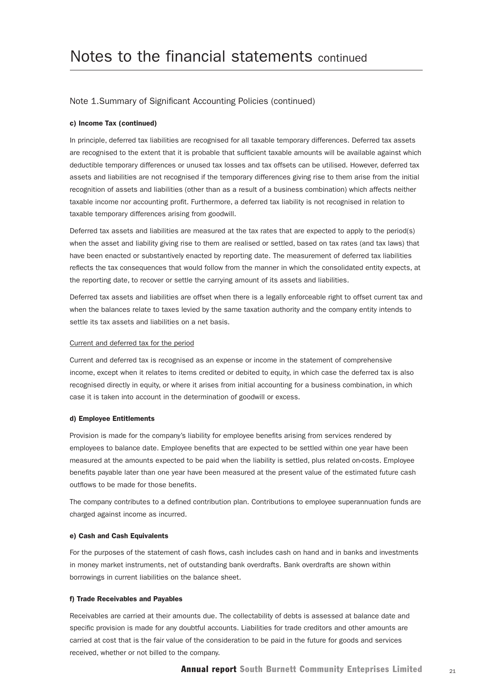#### c) Income Tax (continued)

In principle, deferred tax liabilities are recognised for all taxable temporary differences. Deferred tax assets are recognised to the extent that it is probable that sufficient taxable amounts will be available against which deductible temporary differences or unused tax losses and tax offsets can be utilised. However, deferred tax assets and liabilities are not recognised if the temporary differences giving rise to them arise from the initial recognition of assets and liabilities (other than as a result of a business combination) which affects neither taxable income nor accounting profit. Furthermore, a deferred tax liability is not recognised in relation to taxable temporary differences arising from goodwill.

Deferred tax assets and liabilities are measured at the tax rates that are expected to apply to the period(s) when the asset and liability giving rise to them are realised or settled, based on tax rates (and tax laws) that have been enacted or substantively enacted by reporting date. The measurement of deferred tax liabilities reflects the tax consequences that would follow from the manner in which the consolidated entity expects, at the reporting date, to recover or settle the carrying amount of its assets and liabilities.

Deferred tax assets and liabilities are offset when there is a legally enforceable right to offset current tax and when the balances relate to taxes levied by the same taxation authority and the company entity intends to settle its tax assets and liabilities on a net basis.

#### Current and deferred tax for the period

Current and deferred tax is recognised as an expense or income in the statement of comprehensive income, except when it relates to items credited or debited to equity, in which case the deferred tax is also recognised directly in equity, or where it arises from initial accounting for a business combination, in which case it is taken into account in the determination of goodwill or excess.

#### d) Employee Entitlements

Provision is made for the company's liability for employee benefits arising from services rendered by employees to balance date. Employee benefits that are expected to be settled within one year have been measured at the amounts expected to be paid when the liability is settled, plus related on-costs. Employee benefits payable later than one year have been measured at the present value of the estimated future cash outflows to be made for those benefits.

The company contributes to a defined contribution plan. Contributions to employee superannuation funds are charged against income as incurred.

#### e) Cash and Cash Equivalents

For the purposes of the statement of cash flows, cash includes cash on hand and in banks and investments in money market instruments, net of outstanding bank overdrafts. Bank overdrafts are shown within borrowings in current liabilities on the balance sheet.

#### f) Trade Receivables and Payables

Receivables are carried at their amounts due. The collectability of debts is assessed at balance date and specific provision is made for any doubtful accounts. Liabilities for trade creditors and other amounts are carried at cost that is the fair value of the consideration to be paid in the future for goods and services received, whether or not billed to the company.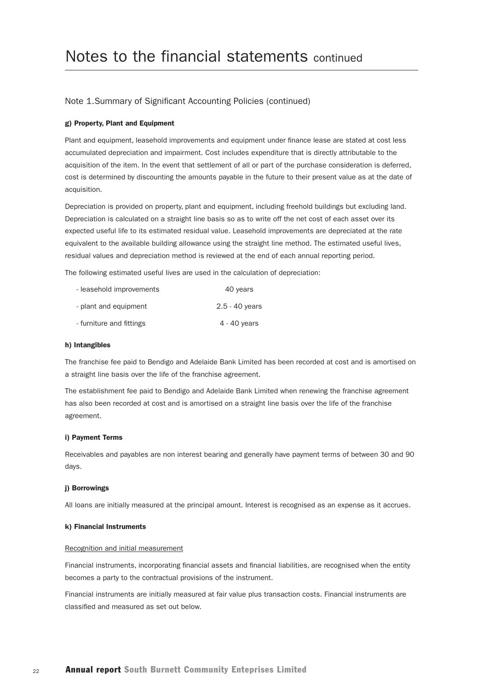#### g) Property, Plant and Equipment

Plant and equipment, leasehold improvements and equipment under finance lease are stated at cost less accumulated depreciation and impairment. Cost includes expenditure that is directly attributable to the acquisition of the item. In the event that settlement of all or part of the purchase consideration is deferred, cost is determined by discounting the amounts payable in the future to their present value as at the date of acquisition.

Depreciation is provided on property, plant and equipment, including freehold buildings but excluding land. Depreciation is calculated on a straight line basis so as to write off the net cost of each asset over its expected useful life to its estimated residual value. Leasehold improvements are depreciated at the rate equivalent to the available building allowance using the straight line method. The estimated useful lives, residual values and depreciation method is reviewed at the end of each annual reporting period.

The following estimated useful lives are used in the calculation of depreciation:

| - leasehold improvements | 40 years         |
|--------------------------|------------------|
| - plant and equipment    | $2.5 - 40$ years |
| - furniture and fittings | 4 - 40 years     |

#### h) Intangibles

The franchise fee paid to Bendigo and Adelaide Bank Limited has been recorded at cost and is amortised on a straight line basis over the life of the franchise agreement.

The establishment fee paid to Bendigo and Adelaide Bank Limited when renewing the franchise agreement has also been recorded at cost and is amortised on a straight line basis over the life of the franchise agreement.

#### i) Payment Terms

Receivables and payables are non interest bearing and generally have payment terms of between 30 and 90 days.

#### j) Borrowings

All loans are initially measured at the principal amount. Interest is recognised as an expense as it accrues.

#### k) Financial Instruments

#### Recognition and initial measurement

Financial instruments, incorporating financial assets and financial liabilities, are recognised when the entity becomes a party to the contractual provisions of the instrument.

Financial instruments are initially measured at fair value plus transaction costs. Financial instruments are classified and measured as set out below.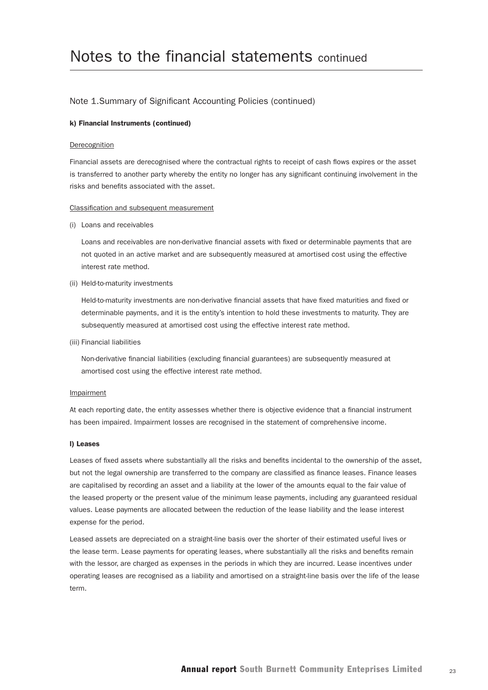#### k) Financial Instruments (continued)

#### Derecognition

Financial assets are derecognised where the contractual rights to receipt of cash flows expires or the asset is transferred to another party whereby the entity no longer has any significant continuing involvement in the risks and benefits associated with the asset.

#### Classification and subsequent measurement

(i) Loans and receivables

 Loans and receivables are non-derivative financial assets with fixed or determinable payments that are not quoted in an active market and are subsequently measured at amortised cost using the effective interest rate method.

(ii) Held-to-maturity investments

 Held-to-maturity investments are non-derivative financial assets that have fixed maturities and fixed or determinable payments, and it is the entity's intention to hold these investments to maturity. They are subsequently measured at amortised cost using the effective interest rate method.

(iii) Financial liabilities

 Non-derivative financial liabilities (excluding financial guarantees) are subsequently measured at amortised cost using the effective interest rate method.

#### Impairment

At each reporting date, the entity assesses whether there is objective evidence that a financial instrument has been impaired. Impairment losses are recognised in the statement of comprehensive income.

#### l) Leases

Leases of fixed assets where substantially all the risks and benefits incidental to the ownership of the asset, but not the legal ownership are transferred to the company are classified as finance leases. Finance leases are capitalised by recording an asset and a liability at the lower of the amounts equal to the fair value of the leased property or the present value of the minimum lease payments, including any guaranteed residual values. Lease payments are allocated between the reduction of the lease liability and the lease interest expense for the period.

Leased assets are depreciated on a straight-line basis over the shorter of their estimated useful lives or the lease term. Lease payments for operating leases, where substantially all the risks and benefits remain with the lessor, are charged as expenses in the periods in which they are incurred. Lease incentives under operating leases are recognised as a liability and amortised on a straight-line basis over the life of the lease term.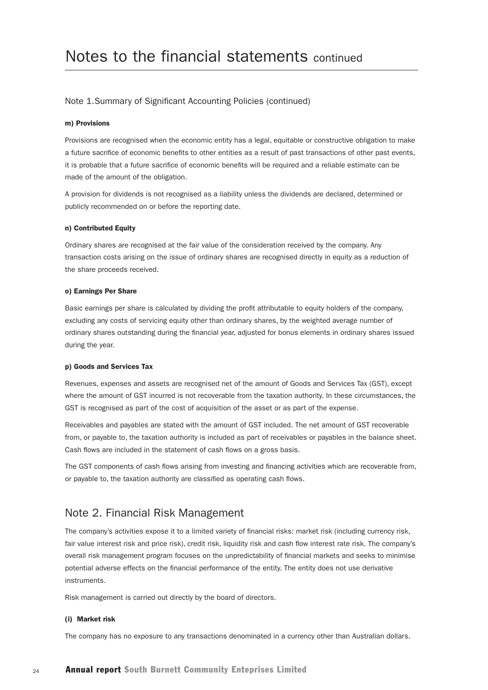#### m) Provisions

Provisions are recognised when the economic entity has a legal, equitable or constructive obligation to make a future sacrifice of economic benefits to other entities as a result of past transactions of other past events, it is probable that a future sacrifice of economic benefits will be required and a reliable estimate can be made of the amount of the obligation.

A provision for dividends is not recognised as a liability unless the dividends are declared, determined or publicly recommended on or before the reporting date.

#### n) Contributed Equity

Ordinary shares are recognised at the fair value of the consideration received by the company. Any transaction costs arising on the issue of ordinary shares are recognised directly in equity as a reduction of the share proceeds received.

#### o) Earnings Per Share

Basic earnings per share is calculated by dividing the profit attributable to equity holders of the company, excluding any costs of servicing equity other than ordinary shares, by the weighted average number of ordinary shares outstanding during the financial year, adjusted for bonus elements in ordinary shares issued during the year.

#### p) Goods and Services Tax

Revenues, expenses and assets are recognised net of the amount of Goods and Services Tax (GST), except where the amount of GST incurred is not recoverable from the taxation authority. In these circumstances, the GST is recognised as part of the cost of acquisition of the asset or as part of the expense.

Receivables and payables are stated with the amount of GST included. The net amount of GST recoverable from, or payable to, the taxation authority is included as part of receivables or payables in the balance sheet. Cash flows are included in the statement of cash flows on a gross basis.

The GST components of cash flows arising from investing and financing activities which are recoverable from, or payable to, the taxation authority are classified as operating cash flows.

### Note 2. Financial Risk Management

The company's activities expose it to a limited variety of financial risks: market risk (including currency risk, fair value interest risk and price risk), credit risk, liquidity risk and cash flow interest rate risk. The company's overall risk management program focuses on the unpredictability of financial markets and seeks to minimise potential adverse effects on the financial performance of the entity. The entity does not use derivative instruments.

Risk management is carried out directly by the board of directors.

#### (i) Market risk

The company has no exposure to any transactions denominated in a currency other than Australian dollars.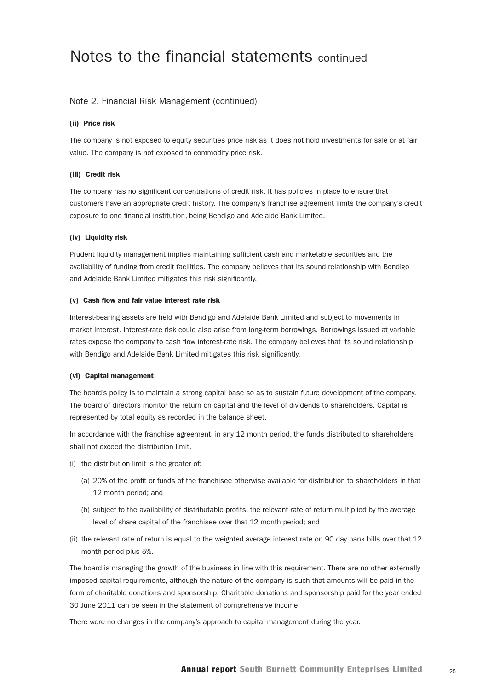#### Note 2. Financial Risk Management (continued)

#### (ii) Price risk

The company is not exposed to equity securities price risk as it does not hold investments for sale or at fair value. The company is not exposed to commodity price risk.

#### (iii) Credit risk

The company has no significant concentrations of credit risk. It has policies in place to ensure that customers have an appropriate credit history. The company's franchise agreement limits the company's credit exposure to one financial institution, being Bendigo and Adelaide Bank Limited.

#### (iv) Liquidity risk

Prudent liquidity management implies maintaining sufficient cash and marketable securities and the availability of funding from credit facilities. The company believes that its sound relationship with Bendigo and Adelaide Bank Limited mitigates this risk significantly.

#### (v) Cash flow and fair value interest rate risk

Interest-bearing assets are held with Bendigo and Adelaide Bank Limited and subject to movements in market interest. Interest-rate risk could also arise from long-term borrowings. Borrowings issued at variable rates expose the company to cash flow interest-rate risk. The company believes that its sound relationship with Bendigo and Adelaide Bank Limited mitigates this risk significantly.

#### (vi) Capital management

The board's policy is to maintain a strong capital base so as to sustain future development of the company. The board of directors monitor the return on capital and the level of dividends to shareholders. Capital is represented by total equity as recorded in the balance sheet.

In accordance with the franchise agreement, in any 12 month period, the funds distributed to shareholders shall not exceed the distribution limit.

- (i) the distribution limit is the greater of:
	- (a) 20% of the profit or funds of the franchisee otherwise available for distribution to shareholders in that 12 month period; and
	- (b) subject to the availability of distributable profits, the relevant rate of return multiplied by the average level of share capital of the franchisee over that 12 month period; and
- (ii) the relevant rate of return is equal to the weighted average interest rate on 90 day bank bills over that 12 month period plus 5%.

The board is managing the growth of the business in line with this requirement. There are no other externally imposed capital requirements, although the nature of the company is such that amounts will be paid in the form of charitable donations and sponsorship. Charitable donations and sponsorship paid for the year ended 30 June 2011 can be seen in the statement of comprehensive income.

There were no changes in the company's approach to capital management during the year.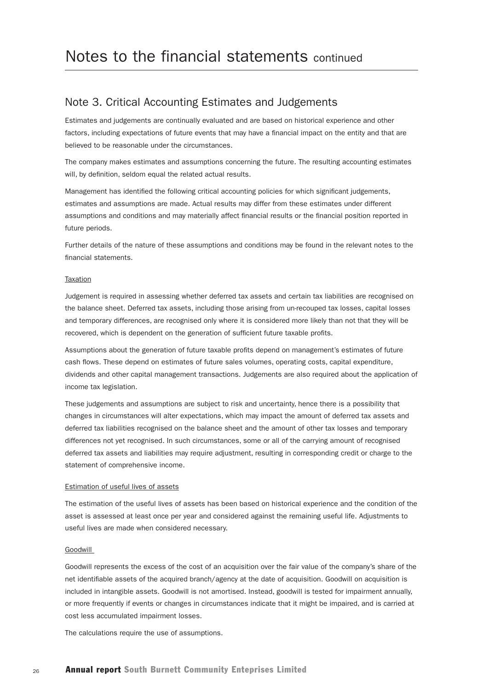### Note 3. Critical Accounting Estimates and Judgements

Estimates and judgements are continually evaluated and are based on historical experience and other factors, including expectations of future events that may have a financial impact on the entity and that are believed to be reasonable under the circumstances.

The company makes estimates and assumptions concerning the future. The resulting accounting estimates will, by definition, seldom equal the related actual results.

Management has identified the following critical accounting policies for which significant judgements, estimates and assumptions are made. Actual results may differ from these estimates under different assumptions and conditions and may materially affect financial results or the financial position reported in future periods.

Further details of the nature of these assumptions and conditions may be found in the relevant notes to the financial statements.

#### **Taxation**

Judgement is required in assessing whether deferred tax assets and certain tax liabilities are recognised on the balance sheet. Deferred tax assets, including those arising from un-recouped tax losses, capital losses and temporary differences, are recognised only where it is considered more likely than not that they will be recovered, which is dependent on the generation of sufficient future taxable profits.

Assumptions about the generation of future taxable profits depend on management's estimates of future cash flows. These depend on estimates of future sales volumes, operating costs, capital expenditure, dividends and other capital management transactions. Judgements are also required about the application of income tax legislation.

These judgements and assumptions are subject to risk and uncertainty, hence there is a possibility that changes in circumstances will alter expectations, which may impact the amount of deferred tax assets and deferred tax liabilities recognised on the balance sheet and the amount of other tax losses and temporary differences not yet recognised. In such circumstances, some or all of the carrying amount of recognised deferred tax assets and liabilities may require adjustment, resulting in corresponding credit or charge to the statement of comprehensive income.

#### Estimation of useful lives of assets

The estimation of the useful lives of assets has been based on historical experience and the condition of the asset is assessed at least once per year and considered against the remaining useful life. Adjustments to useful lives are made when considered necessary.

#### Goodwill

Goodwill represents the excess of the cost of an acquisition over the fair value of the company's share of the net identifiable assets of the acquired branch/agency at the date of acquisition. Goodwill on acquisition is included in intangible assets. Goodwill is not amortised. Instead, goodwill is tested for impairment annually, or more frequently if events or changes in circumstances indicate that it might be impaired, and is carried at cost less accumulated impairment losses.

The calculations require the use of assumptions.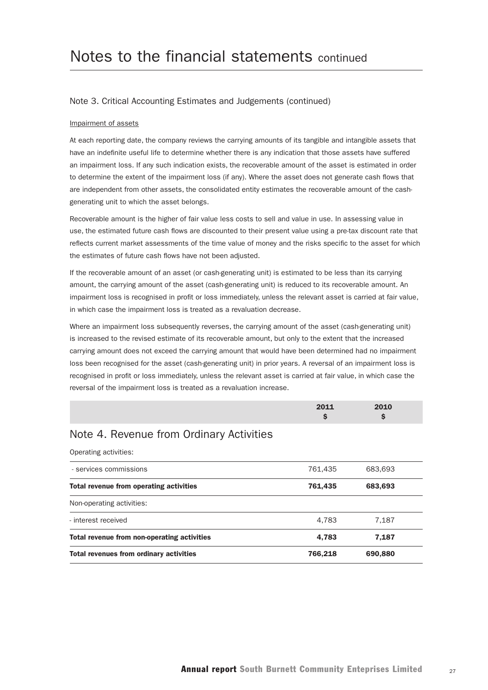#### Note 3. Critical Accounting Estimates and Judgements (continued)

#### Impairment of assets

At each reporting date, the company reviews the carrying amounts of its tangible and intangible assets that have an indefinite useful life to determine whether there is any indication that those assets have suffered an impairment loss. If any such indication exists, the recoverable amount of the asset is estimated in order to determine the extent of the impairment loss (if any). Where the asset does not generate cash flows that are independent from other assets, the consolidated entity estimates the recoverable amount of the cashgenerating unit to which the asset belongs.

Recoverable amount is the higher of fair value less costs to sell and value in use. In assessing value in use, the estimated future cash flows are discounted to their present value using a pre-tax discount rate that reflects current market assessments of the time value of money and the risks specific to the asset for which the estimates of future cash flows have not been adjusted.

If the recoverable amount of an asset (or cash-generating unit) is estimated to be less than its carrying amount, the carrying amount of the asset (cash-generating unit) is reduced to its recoverable amount. An impairment loss is recognised in profit or loss immediately, unless the relevant asset is carried at fair value, in which case the impairment loss is treated as a revaluation decrease.

Where an impairment loss subsequently reverses, the carrying amount of the asset (cash-generating unit) is increased to the revised estimate of its recoverable amount, but only to the extent that the increased carrying amount does not exceed the carrying amount that would have been determined had no impairment loss been recognised for the asset (cash-generating unit) in prior years. A reversal of an impairment loss is recognised in profit or loss immediately, unless the relevant asset is carried at fair value, in which case the reversal of the impairment loss is treated as a revaluation increase.

| 2011        | 2010 |  |
|-------------|------|--|
| $\sim$<br>- | æ    |  |

## Note 4. Revenue from Ordinary Activities

Operating activities:

| <b>Total revenues from ordinary activities</b> | 766.218 | 690,880 |  |
|------------------------------------------------|---------|---------|--|
| Total revenue from non-operating activities    | 4,783   | 7,187   |  |
| - interest received                            | 4,783   | 7.187   |  |
| Non-operating activities:                      |         |         |  |
| Total revenue from operating activities        | 761,435 | 683,693 |  |
| - services commissions                         | 761.435 | 683.693 |  |
|                                                |         |         |  |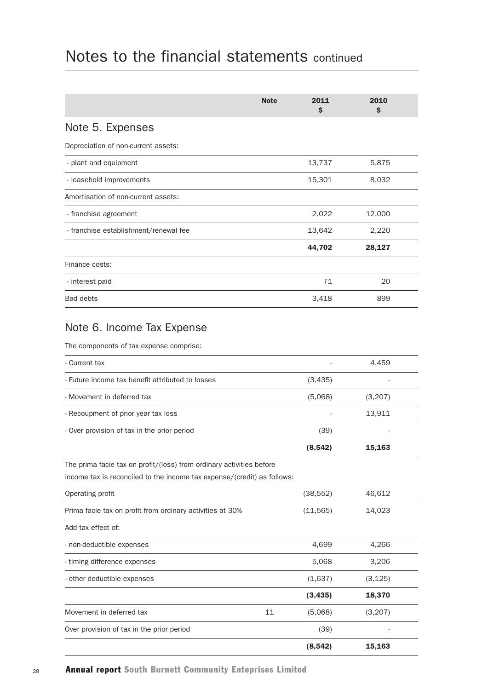|                                       | <b>Note</b> | 2011<br>\$ | 2010<br>\$ |
|---------------------------------------|-------------|------------|------------|
| Note 5. Expenses                      |             |            |            |
| Depreciation of non-current assets:   |             |            |            |
| - plant and equipment                 |             | 13,737     | 5,875      |
| - leasehold improvements              |             | 15,301     | 8,032      |
| Amortisation of non-current assets:   |             |            |            |
| - franchise agreement                 |             | 2,022      | 12,000     |
| - franchise establishment/renewal fee |             | 13,642     | 2,220      |
|                                       |             | 44,702     | 28,127     |
| Finance costs:                        |             |            |            |
| - interest paid                       |             | 71         | 20         |
| <b>Bad debts</b>                      |             | 3,418      | 899        |

## Note 6. Income Tax Expense

The components of tax expense comprise:

| - Current tax                                                                                                                                   |    |           | 4,459    |  |
|-------------------------------------------------------------------------------------------------------------------------------------------------|----|-----------|----------|--|
| - Future income tax benefit attributed to losses                                                                                                |    | (3,435)   |          |  |
| - Movement in deferred tax                                                                                                                      |    | (5,068)   | (3,207)  |  |
| - Recoupment of prior year tax loss                                                                                                             |    |           | 13,911   |  |
| - Over provision of tax in the prior period                                                                                                     |    | (39)      |          |  |
|                                                                                                                                                 |    | (8, 542)  | 15,163   |  |
| The prima facie tax on profit/(loss) from ordinary activities before<br>income tax is reconciled to the income tax expense/(credit) as follows: |    |           |          |  |
| Operating profit                                                                                                                                |    | (38, 552) | 46,612   |  |
| Prima facie tax on profit from ordinary activities at 30%                                                                                       |    | (11, 565) | 14,023   |  |
| Add tax effect of:                                                                                                                              |    |           |          |  |
| - non-deductible expenses                                                                                                                       |    | 4,699     | 4,266    |  |
| - timing difference expenses                                                                                                                    |    | 5,068     | 3,206    |  |
| - other deductible expenses                                                                                                                     |    | (1,637)   | (3, 125) |  |
|                                                                                                                                                 |    | (3, 435)  | 18,370   |  |
| Movement in deferred tax                                                                                                                        | 11 | (5,068)   | (3,207)  |  |
| Over provision of tax in the prior period                                                                                                       |    | (39)      |          |  |
|                                                                                                                                                 |    | (8, 542)  | 15,163   |  |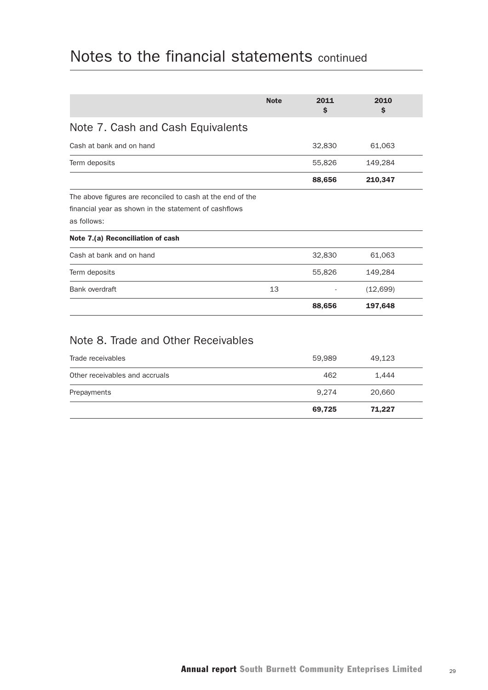|                                                            | <b>Note</b> | 2011<br>\$ | 2010<br>\$ |  |
|------------------------------------------------------------|-------------|------------|------------|--|
| Note 7. Cash and Cash Equivalents                          |             |            |            |  |
| Cash at bank and on hand                                   |             | 32,830     | 61,063     |  |
| Term deposits                                              |             | 55,826     | 149,284    |  |
|                                                            |             | 88,656     | 210,347    |  |
| The above figures are reconciled to cash at the end of the |             |            |            |  |
| financial year as shown in the statement of cashflows      |             |            |            |  |
| as follows:                                                |             |            |            |  |
| Note 7.(a) Reconciliation of cash                          |             |            |            |  |
| Cash at bank and on hand                                   |             | 32,830     | 61,063     |  |
| Term deposits                                              |             | 55,826     | 149,284    |  |
| Bank overdraft                                             | 13          |            | (12,699)   |  |
|                                                            |             | 88,656     | 197,648    |  |
|                                                            |             |            |            |  |

# Note 8. Trade and Other Receivables

|                                | 69,725 | 71,227 |  |
|--------------------------------|--------|--------|--|
| Prepayments                    | 9.274  | 20,660 |  |
| Other receivables and accruals | 462    | 1.444  |  |
| Trade receivables              | 59,989 | 49,123 |  |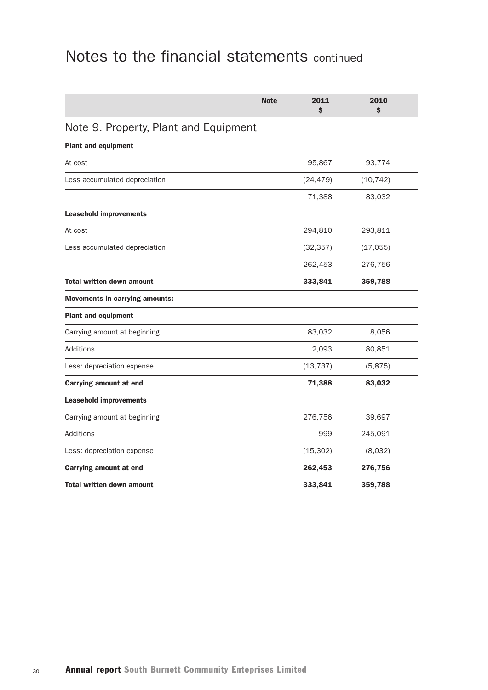|                                       | <b>Note</b> | 2011<br>\$ | 2010<br>\$ |  |
|---------------------------------------|-------------|------------|------------|--|
| Note 9. Property, Plant and Equipment |             |            |            |  |
| <b>Plant and equipment</b>            |             |            |            |  |
| At cost                               |             | 95,867     | 93,774     |  |
| Less accumulated depreciation         |             | (24, 479)  | (10, 742)  |  |
|                                       |             | 71,388     | 83,032     |  |
| <b>Leasehold improvements</b>         |             |            |            |  |
| At cost                               |             | 294,810    | 293,811    |  |
| Less accumulated depreciation         |             | (32, 357)  | (17,055)   |  |
|                                       |             | 262,453    | 276,756    |  |
| <b>Total written down amount</b>      |             | 333,841    | 359,788    |  |
| <b>Movements in carrying amounts:</b> |             |            |            |  |
| <b>Plant and equipment</b>            |             |            |            |  |
| Carrying amount at beginning          |             | 83,032     | 8,056      |  |
| Additions                             |             | 2,093      | 80,851     |  |
| Less: depreciation expense            |             | (13, 737)  | (5,875)    |  |
| Carrying amount at end                |             | 71,388     | 83,032     |  |
| <b>Leasehold improvements</b>         |             |            |            |  |
| Carrying amount at beginning          |             | 276,756    | 39,697     |  |
| Additions                             |             | 999        | 245,091    |  |
| Less: depreciation expense            |             | (15, 302)  | (8,032)    |  |
| <b>Carrying amount at end</b>         |             | 262,453    | 276,756    |  |
| <b>Total written down amount</b>      |             | 333,841    | 359,788    |  |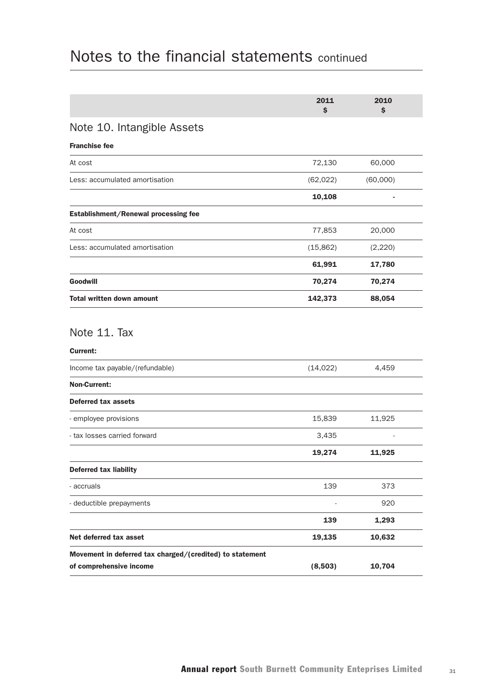|                                                                                     | 2011<br>\$ | 2010<br>\$ |  |
|-------------------------------------------------------------------------------------|------------|------------|--|
| Note 10. Intangible Assets                                                          |            |            |  |
| <b>Franchise fee</b>                                                                |            |            |  |
| At cost                                                                             | 72,130     | 60,000     |  |
| Less: accumulated amortisation                                                      | (62, 022)  | (60,000)   |  |
|                                                                                     | 10,108     |            |  |
| Establishment/Renewal processing fee                                                |            |            |  |
| At cost                                                                             | 77,853     | 20,000     |  |
| Less: accumulated amortisation                                                      | (15, 862)  | (2,220)    |  |
|                                                                                     | 61,991     | 17,780     |  |
| Goodwill                                                                            | 70,274     | 70,274     |  |
| <b>Total written down amount</b>                                                    | 142,373    | 88,054     |  |
| Note 11. Tax<br><b>Current:</b><br>Income tax payable/(refundable)                  | (14, 022)  | 4,459      |  |
| <b>Non-Current:</b>                                                                 |            |            |  |
| <b>Deferred tax assets</b>                                                          |            |            |  |
| - employee provisions                                                               | 15,839     | 11,925     |  |
| - tax losses carried forward                                                        | 3,435      |            |  |
|                                                                                     | 19,274     | 11,925     |  |
| <b>Deferred tax liability</b>                                                       |            |            |  |
| - accruals                                                                          | 139        | 373        |  |
| - deductible prepayments                                                            |            | 920        |  |
|                                                                                     | 139        | 1,293      |  |
| Net deferred tax asset                                                              | 19,135     | 10,632     |  |
| Movement in deferred tax charged/(credited) to statement<br>of comprehensive income | (8,503)    | 10,704     |  |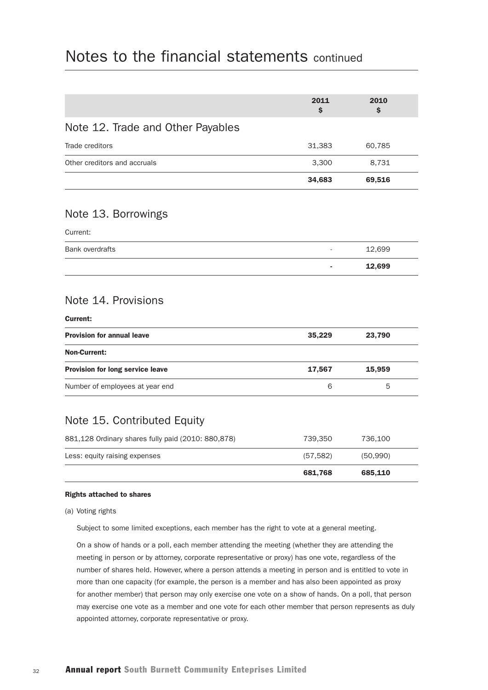|                                                    | 2011<br>\$ | 2010<br>Ś |  |
|----------------------------------------------------|------------|-----------|--|
| Note 12. Trade and Other Payables                  |            |           |  |
| Trade creditors                                    | 31,383     | 60,785    |  |
| Other creditors and accruals                       | 3,300      | 8,731     |  |
|                                                    | 34,683     | 69,516    |  |
| Note 13. Borrowings                                |            |           |  |
| Current:                                           |            |           |  |
| <b>Bank overdrafts</b>                             |            | 12,699    |  |
|                                                    |            | 12,699    |  |
| Note 14. Provisions<br><b>Current:</b>             |            |           |  |
| <b>Provision for annual leave</b>                  | 35,229     | 23,790    |  |
| <b>Non-Current:</b>                                |            |           |  |
| Provision for long service leave                   | 17,567     | 15,959    |  |
| Number of employees at year end                    | 6          | 5         |  |
| Note 15. Contributed Equity                        |            |           |  |
| 881,128 Ordinary shares fully paid (2010: 880,878) | 739,350    | 736,100   |  |
| Less: equity raising expenses                      | (57, 582)  | (50, 990) |  |
|                                                    | 681,768    | 685,110   |  |
| <b>Rights attached to shares</b>                   |            |           |  |

### (a) Voting rights

Subject to some limited exceptions, each member has the right to vote at a general meeting.

 On a show of hands or a poll, each member attending the meeting (whether they are attending the meeting in person or by attorney, corporate representative or proxy) has one vote, regardless of the number of shares held. However, where a person attends a meeting in person and is entitled to vote in more than one capacity (for example, the person is a member and has also been appointed as proxy for another member) that person may only exercise one vote on a show of hands. On a poll, that person may exercise one vote as a member and one vote for each other member that person represents as duly appointed attorney, corporate representative or proxy.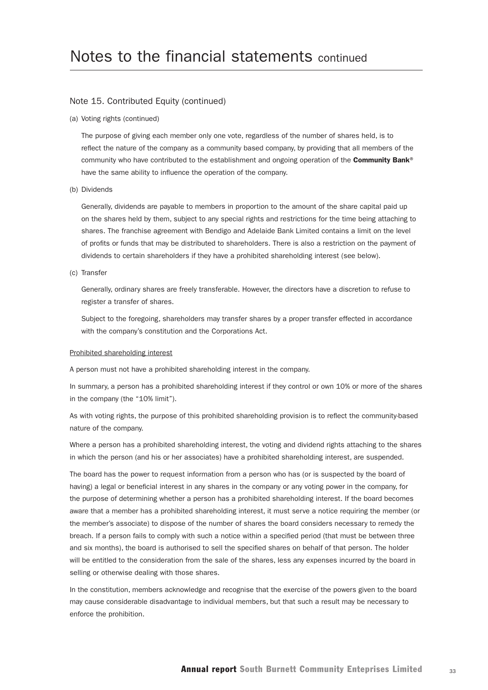#### Note 15. Contributed Equity (continued)

(a) Voting rights (continued)

 The purpose of giving each member only one vote, regardless of the number of shares held, is to reflect the nature of the company as a community based company, by providing that all members of the community who have contributed to the establishment and ongoing operation of the Community Bank® have the same ability to influence the operation of the company.

#### (b) Dividends

 Generally, dividends are payable to members in proportion to the amount of the share capital paid up on the shares held by them, subject to any special rights and restrictions for the time being attaching to shares. The franchise agreement with Bendigo and Adelaide Bank Limited contains a limit on the level of profits or funds that may be distributed to shareholders. There is also a restriction on the payment of dividends to certain shareholders if they have a prohibited shareholding interest (see below).

#### (c) Transfer

 Generally, ordinary shares are freely transferable. However, the directors have a discretion to refuse to register a transfer of shares.

 Subject to the foregoing, shareholders may transfer shares by a proper transfer effected in accordance with the company's constitution and the Corporations Act.

#### Prohibited shareholding interest

A person must not have a prohibited shareholding interest in the company.

In summary, a person has a prohibited shareholding interest if they control or own 10% or more of the shares in the company (the "10% limit").

As with voting rights, the purpose of this prohibited shareholding provision is to reflect the community-based nature of the company.

Where a person has a prohibited shareholding interest, the voting and dividend rights attaching to the shares in which the person (and his or her associates) have a prohibited shareholding interest, are suspended.

The board has the power to request information from a person who has (or is suspected by the board of having) a legal or beneficial interest in any shares in the company or any voting power in the company, for the purpose of determining whether a person has a prohibited shareholding interest. If the board becomes aware that a member has a prohibited shareholding interest, it must serve a notice requiring the member (or the member's associate) to dispose of the number of shares the board considers necessary to remedy the breach. If a person fails to comply with such a notice within a specified period (that must be between three and six months), the board is authorised to sell the specified shares on behalf of that person. The holder will be entitled to the consideration from the sale of the shares, less any expenses incurred by the board in selling or otherwise dealing with those shares.

In the constitution, members acknowledge and recognise that the exercise of the powers given to the board may cause considerable disadvantage to individual members, but that such a result may be necessary to enforce the prohibition.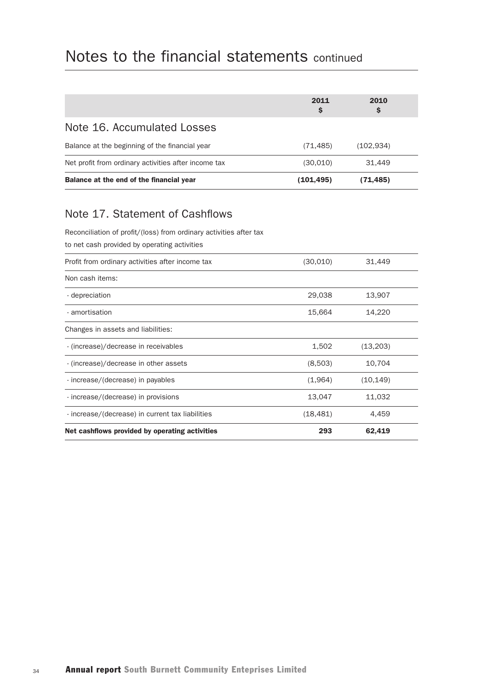|                                                      | 2011<br>S | 2010<br>Ş |  |
|------------------------------------------------------|-----------|-----------|--|
| Note 16. Accumulated Losses                          |           |           |  |
| Balance at the beginning of the financial year       | (71, 485) | (102.934) |  |
| Net profit from ordinary activities after income tax | (30,010)  | 31.449    |  |
| Balance at the end of the financial year             | (101,495) | (71,485)  |  |

# Note 17. Statement of Cashflows

Reconciliation of profit/(loss) from ordinary activities after tax

to net cash provided by operating activities

| Profit from ordinary activities after income tax | (30, 010) | 31,449    |  |
|--------------------------------------------------|-----------|-----------|--|
| Non cash items:                                  |           |           |  |
| - depreciation                                   | 29,038    | 13,907    |  |
| - amortisation                                   | 15,664    | 14,220    |  |
| Changes in assets and liabilities:               |           |           |  |
| - (increase)/decrease in receivables             | 1,502     | (13,203)  |  |
| - (increase)/decrease in other assets            | (8,503)   | 10,704    |  |
| - increase/(decrease) in payables                | (1,964)   | (10, 149) |  |
| - increase/(decrease) in provisions              | 13,047    | 11,032    |  |
| - increase/(decrease) in current tax liabilities | (18, 481) | 4,459     |  |
| Net cashflows provided by operating activities   | 293       | 62,419    |  |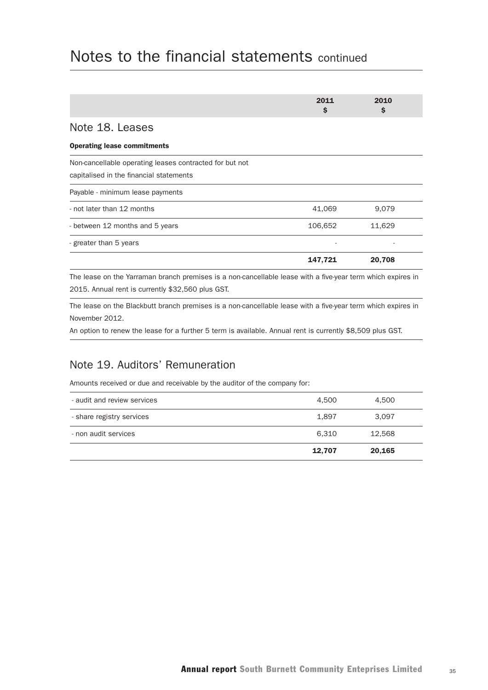|                                                                                                    | 2011<br>\$ | 2010<br>\$ |
|----------------------------------------------------------------------------------------------------|------------|------------|
| Note 18. Leases                                                                                    |            |            |
| <b>Operating lease commitments</b>                                                                 |            |            |
| Non-cancellable operating leases contracted for but not<br>capitalised in the financial statements |            |            |
| Payable - minimum lease payments                                                                   |            |            |
| - not later than 12 months                                                                         | 41,069     | 9.079      |
| - between 12 months and 5 years                                                                    | 106,652    | 11,629     |
| - greater than 5 years                                                                             |            |            |
|                                                                                                    | 147,721    | 20,708     |
|                                                                                                    |            |            |

The lease on the Yarraman branch premises is a non-cancellable lease with a five-year term which expires in 2015. Annual rent is currently \$32,560 plus GST.

The lease on the Blackbutt branch premises is a non-cancellable lease with a five-year term which expires in November 2012.

An option to renew the lease for a further 5 term is available. Annual rent is currently \$8,509 plus GST.

## Note 19. Auditors' Remuneration

Amounts received or due and receivable by the auditor of the company for:

|                             | 12,707 | 20,165 |  |
|-----------------------------|--------|--------|--|
| - non audit services        | 6.310  | 12.568 |  |
| - share registry services   | 1,897  | 3,097  |  |
| - audit and review services | 4.500  | 4,500  |  |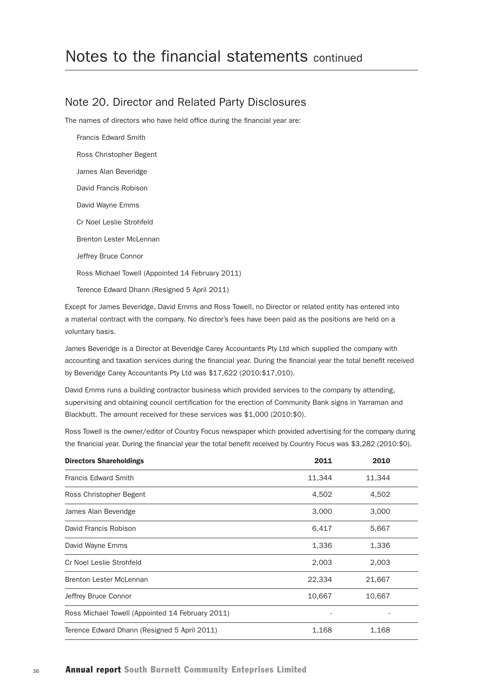### Note 20. Director and Related Party Disclosures

The names of directors who have held office during the financial year are:

Francis Edward Smith Ross Christopher Begent James Alan Beveridge David Francis Robison David Wayne Emms Cr Noel Leslie Strohfeld Brenton Lester McLennan Jeffrey Bruce Connor Ross Michael Towell (Appointed 14 February 2011) Terence Edward Dhann (Resigned 5 April 2011)

Except for James Beveridge, David Emms and Ross Towell, no Director or related entity has entered into a material contract with the company. No director's fees have been paid as the positions are held on a voluntary basis.

James Beveridge is a Director at Beveridge Carey Accountants Pty Ltd which supplied the company with accounting and taxation services during the financial year. During the financial year the total benefit received by Beveridge Carey Accountants Pty Ltd was \$17,622 (2010:\$17,010).

David Emms runs a building contractor business which provided services to the company by attending, supervising and obtaining council certification for the erection of Community Bank signs in Yarraman and Blackbutt. The amount received for these services was \$1,000 (2010:\$0).

Ross Towell is the owner/editor of Country Focus newspaper which provided advertising for the company during the financial year. During the financial year the total benefit received by Country Focus was \$3,282 (2010:\$0).

| <b>Directors Shareholdings</b>                   | 2011   | 2010   |  |
|--------------------------------------------------|--------|--------|--|
| <b>Francis Edward Smith</b>                      | 11,344 | 11,344 |  |
| Ross Christopher Begent                          | 4,502  | 4,502  |  |
| James Alan Beveridge                             | 3,000  | 3,000  |  |
| David Francis Robison                            | 6,417  | 5,667  |  |
| David Wayne Emms                                 | 1,336  | 1,336  |  |
| Cr Noel Leslie Strohfeld                         | 2,003  | 2,003  |  |
| <b>Brenton Lester McLennan</b>                   | 22,334 | 21,667 |  |
| Jeffrey Bruce Connor                             | 10,667 | 10,667 |  |
| Ross Michael Towell (Appointed 14 February 2011) |        |        |  |
| Terence Edward Dhann (Resigned 5 April 2011)     | 1,168  | 1,168  |  |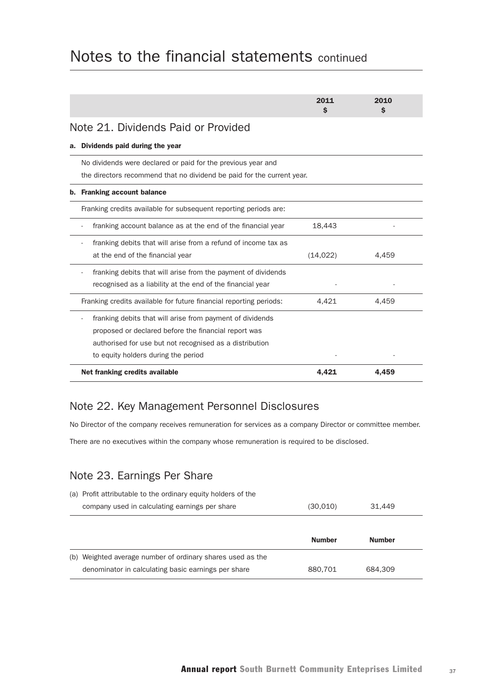|    |                                                                                                                                                                                                                     | 2011<br>S | 2010<br>Ŝ |
|----|---------------------------------------------------------------------------------------------------------------------------------------------------------------------------------------------------------------------|-----------|-----------|
|    | Note 21. Dividends Paid or Provided                                                                                                                                                                                 |           |           |
| а. | Dividends paid during the year                                                                                                                                                                                      |           |           |
|    | No dividends were declared or paid for the previous year and<br>the directors recommend that no dividend be paid for the current year.                                                                              |           |           |
| b. | <b>Franking account balance</b>                                                                                                                                                                                     |           |           |
|    | Franking credits available for subsequent reporting periods are:                                                                                                                                                    |           |           |
|    | franking account balance as at the end of the financial year                                                                                                                                                        | 18.443    |           |
|    | franking debits that will arise from a refund of income tax as<br>at the end of the financial year                                                                                                                  | (14, 022) | 4.459     |
|    | franking debits that will arise from the payment of dividends<br>recognised as a liability at the end of the financial year                                                                                         |           |           |
|    | Franking credits available for future financial reporting periods:                                                                                                                                                  | 4,421     | 4,459     |
|    | franking debits that will arise from payment of dividends<br>proposed or declared before the financial report was<br>authorised for use but not recognised as a distribution<br>to equity holders during the period |           |           |
|    | Net franking credits available                                                                                                                                                                                      | 4,421     | 4.459     |

## Note 22. Key Management Personnel Disclosures

No Director of the company receives remuneration for services as a company Director or committee member.

There are no executives within the company whose remuneration is required to be disclosed.

## Note 23. Earnings Per Share

| (a) Profit attributable to the ordinary equity holders of the |               |               |  |
|---------------------------------------------------------------|---------------|---------------|--|
| company used in calculating earnings per share                | (30,010)      | 31.449        |  |
|                                                               |               |               |  |
|                                                               | <b>Number</b> | <b>Number</b> |  |
| (b) Weighted average number of ordinary shares used as the    |               |               |  |
| denominator in calculating basic earnings per share           | 880.701       | 684.309       |  |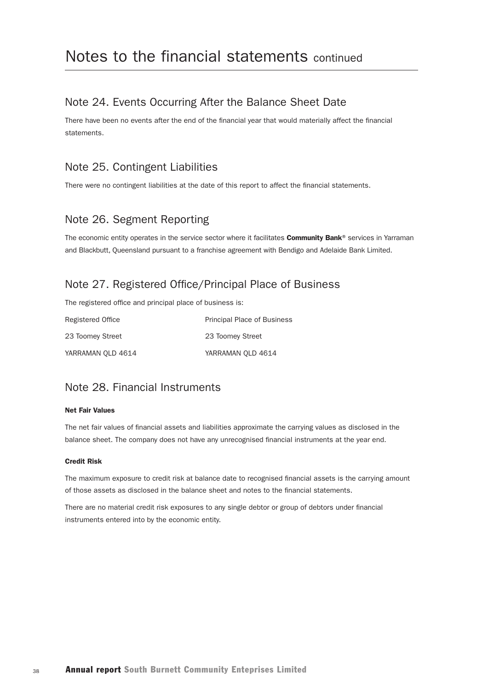### Note 24. Events Occurring After the Balance Sheet Date

There have been no events after the end of the financial year that would materially affect the financial **statements** 

### Note 25. Contingent Liabilities

There were no contingent liabilities at the date of this report to affect the financial statements.

### Note 26. Segment Reporting

The economic entity operates in the service sector where it facilitates **Community Bank®** services in Yarraman and Blackbutt, Queensland pursuant to a franchise agreement with Bendigo and Adelaide Bank Limited.

### Note 27. Registered Office/Principal Place of Business

The registered office and principal place of business is:

| Registered Office | <b>Principal Place of Business</b> |
|-------------------|------------------------------------|
| 23 Toomey Street  | 23 Toomey Street                   |
| YARRAMAN OLD 4614 | YARRAMAN OLD 4614                  |

## Note 28. Financial Instruments

#### Net Fair Values

The net fair values of financial assets and liabilities approximate the carrying values as disclosed in the balance sheet. The company does not have any unrecognised financial instruments at the year end.

#### Credit Risk

The maximum exposure to credit risk at balance date to recognised financial assets is the carrying amount of those assets as disclosed in the balance sheet and notes to the financial statements.

There are no material credit risk exposures to any single debtor or group of debtors under financial instruments entered into by the economic entity.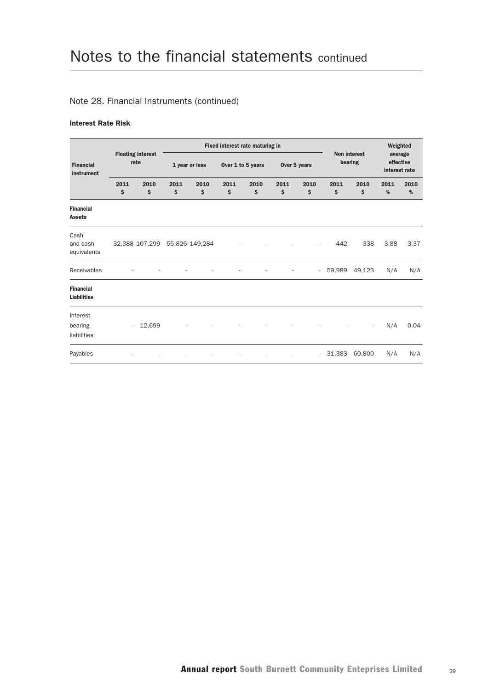#### Note 28. Financial Instruments (continued)

#### Interest Rate Risk

|                                        |                          |                                  |            |                |                   | Fixed interest rate maturing in |              |            |            |                     | Weighted                              |           |
|----------------------------------------|--------------------------|----------------------------------|------------|----------------|-------------------|---------------------------------|--------------|------------|------------|---------------------|---------------------------------------|-----------|
| <b>Financial</b><br>instrument         |                          | <b>Floating interest</b><br>rate |            | 1 year or less | Over 1 to 5 years |                                 | Over 5 years |            | bearing    | <b>Non interest</b> | average<br>effective<br>interest rate |           |
|                                        | 2011<br>\$               | 2010<br>\$                       | 2011<br>\$ | 2010<br>\$     | 2011<br>\$        | 2010<br>\$                      | 2011<br>\$   | 2010<br>\$ | 2011<br>\$ | 2010<br>\$          | 2011<br>%                             | 2010<br>% |
| <b>Financial</b><br><b>Assets</b>      |                          |                                  |            |                |                   |                                 |              |            |            |                     |                                       |           |
| Cash<br>and cash<br>equivalents        |                          | 32,388 107,299 55,826 149,284    |            |                |                   |                                 |              |            | 442        | 338                 | 3.88                                  | 3.37      |
| Receivables                            |                          |                                  |            |                |                   |                                 |              | $\sim$     | 59,989     | 49,123              | N/A                                   | N/A       |
| <b>Financial</b><br><b>Liabilities</b> |                          |                                  |            |                |                   |                                 |              |            |            |                     |                                       |           |
| Interest<br>bearing<br>liabilities     | $\overline{\phantom{a}}$ | 12,699                           |            |                |                   |                                 |              |            |            |                     | N/A                                   | 0.04      |
| Payables                               |                          |                                  |            |                |                   |                                 |              | $\sim$     | 31,383     | 60,800              | N/A                                   | N/A       |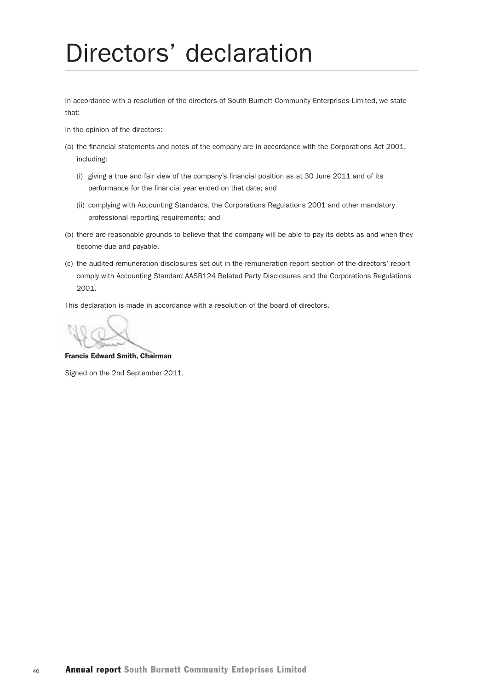# Directors' declaration

In accordance with a resolution of the directors of South Burnett Community Enterprises Limited, we state that:

In the opinion of the directors:

- (a) the financial statements and notes of the company are in accordance with the Corporations Act 2001, including:
	- (i) giving a true and fair view of the company's financial position as at 30 June 2011 and of its performance for the financial year ended on that date; and
	- (ii) complying with Accounting Standards, the Corporations Regulations 2001 and other mandatory professional reporting requirements; and
- (b) there are reasonable grounds to believe that the company will be able to pay its debts as and when they become due and payable.
- (c) the audited remuneration disclosures set out in the remuneration report section of the directors' report comply with Accounting Standard AASB124 Related Party Disclosures and the Corporations Regulations 2001.

This declaration is made in accordance with a resolution of the board of directors.

Francis Edward Smith, Chairman

Signed on the 2nd September 2011.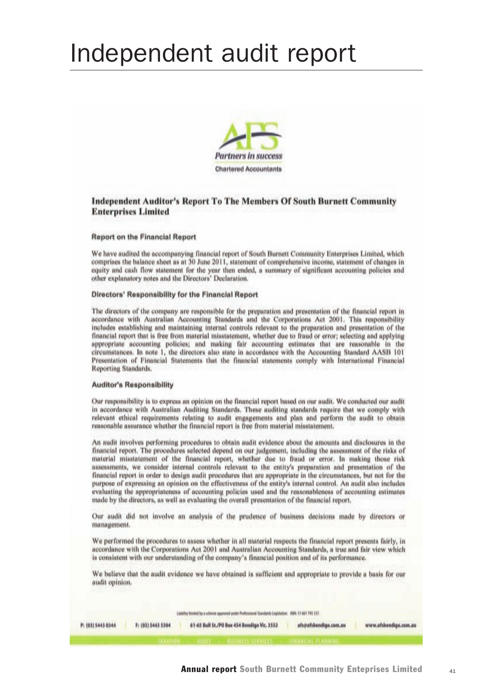# Independent audit report



#### **Independent Auditor's Report To The Members Of South Burnett Community Enterprises Limited**

#### Report on the Financial Report

We have audited the accompanying financial report of South Burnett Community Enterprises Limited, which comprises the balance sheet as at 30 June 2011, statement of comprehensive income, statement of changes in equity and eash flow statement for the year then ended, a summary of significant accounting policies and other explanatory notes and the Directors' Declaration.

#### Directors' Responsibility for the Financial Report

The directors of the company are responsible for the preparation and presentation of the financial report in accordance with Australian Accounting Standards and the Corporations Act 2001. This responsibility includes establishing and maintaining internal controls relevant to the preparation and presentation of the financial report that is free from material misstatement, whether due to fraud or error; selecting and applying appropriate accounting policies; and making fair accounting estimates that are reasonable in the circumstances. In note 1, the directors also state in accordance with the Accounting Standard AASB 101 Presentation of Financial Statements that the financial statements comply with International Financial Reporting Standards.

#### **Auditor's Responsibility**

Our responsibility is to express an opinion on the financial report based on our audit. We conducted our audit in accordance with Australian Auditing Standards. These auditing standards require that we comply with relevant ethical requirements relating to audit engagements and plan and perform the audit to obtain reasonable assurance whether the financial report is free from material misstatement.

An audit involves performing procedures to obtain audit evidence about the amounts and disclosures in the financial report. The procedures selected depend on our judgement, including the assessment of the risks of material misstatement of the financial report, whether due to fraud or error. In making those risk assessments, we consider internal controls relevant to the entity's preparation and presentation of the financial report in order to design audit procedures that are appropriate in the circumstances, but not for the purpose of expressing an opinion on the effectiveness of the entity's internal control. An audit also includes evaluating the appropriateness of accounting policies used and the reasonableness of accounting estimates made by the directors, as well as evaluating the overall presentation of the financial report.

Our audit did not involve an analysis of the prudence of business decisions made by directors or management.

We performed the procedures to assess whether in all material respects the financial report presents fairly, in accordance with the Corporations Act 2001 and Australian Accounting Standards, a true and fair view which is consistent with our understanding of the company's financial position and of its performance.

We believe that the audit evidence we have obtained is sufficient and appropriate to provide a basis for our audit opinion.

| Liability Intelect by a schoose approved under Professional Standards Legislation. ABN: 51 041 765.187. |
|---------------------------------------------------------------------------------------------------------|
|---------------------------------------------------------------------------------------------------------|

| P( (03) 5443 0344 | Fi (03) 5443 5304 | 61-65 Bull St./PO Box 454 Bendigo Vic. 3553 | afs@afsbendigo.com.nu | www.afsbendige.com.au |
|-------------------|-------------------|---------------------------------------------|-----------------------|-----------------------|
|                   |                   |                                             |                       |                       |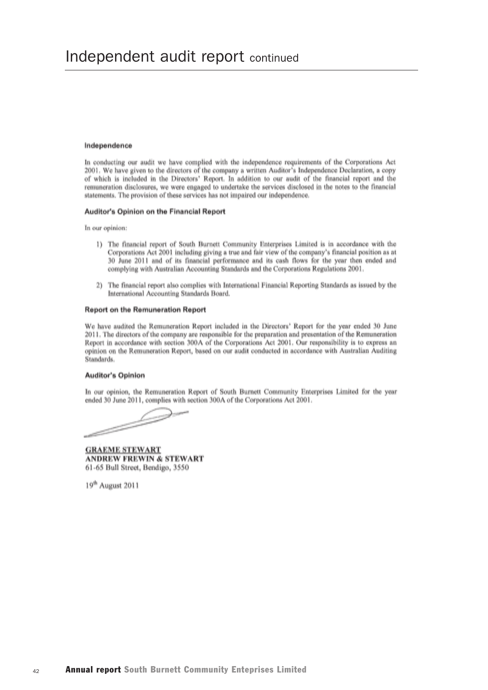#### Independence

In conducting our audit we have complied with the independence requirements of the Corporations Act 2001. We have given to the directors of the company a written Auditor's Independence Declaration, a copy of which is included in the Directors' Report. In addition to our audit of the financial report and the remuneration disclosures, we were engaged to undertake the services disclosed in the notes to the financial statements. The provision of these services has not impaired our independence.

#### Auditor's Opinion on the Financial Report

In our opinion:

- 1) The financial report of South Burnett Community Enterprises Limited is in accordance with the Corporations Act 2001 including giving a true and fair view of the company's financial position as at 30 June 2011 and of its financial performance and its cash flows for the year then ended and complying with Australian Accounting Standards and the Corporations Regulations 2001.
- The financial report also complies with International Financial Reporting Standards as issued by the  $2)$ International Accounting Standards Board.

#### **Report on the Remuneration Report**

We have audited the Remuneration Report included in the Directors' Report for the year ended 30 June 2011. The directors of the company are responsible for the preparation and presentation of the Remuneration Report in accordance with section 300A of the Corporations Act 2001. Our responsibility is to express an opinion on the Remuneration Report, based on our audit conducted in accordance with Australian Auditing Standards.

#### **Auditor's Opinion**

In our opinion, the Remuneration Report of South Burnett Community Enterprises Limited for the year ended 30 June 2011, complies with section 300A of the Corporations Act 2001.

**GRAEME STEWART ANDREW FREWIN & STEWART** 61-65 Bull Street, Bendigo, 3550

19<sup>th</sup> August 2011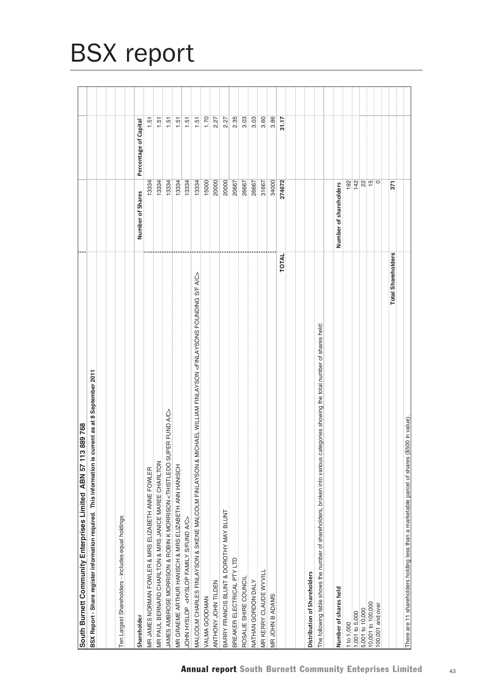| 889768<br>South Burnett Community Enterprises Limited ABN 57 113                                                                                       |                        |                       |  |
|--------------------------------------------------------------------------------------------------------------------------------------------------------|------------------------|-----------------------|--|
| BSX Report - Share register information required. This information is current as at 8 September 2011                                                   |                        |                       |  |
|                                                                                                                                                        |                        |                       |  |
| Ten Largest Shareholders - includes equal holdings                                                                                                     |                        |                       |  |
|                                                                                                                                                        |                        |                       |  |
| Shareholder                                                                                                                                            | Number of Shares       | Percentage of Capital |  |
| MR JAMES NORMAN FOWLER & MRS ELIZABETH ANNE FOWLER                                                                                                     | 13334                  | 1.51                  |  |
| MR PAUL BERNARD CHARLTON & MRS JANICE MAREE CHARLTON                                                                                                   | 13334                  | 1.51                  |  |
| JAMES AMBROSE MORRISON & ROBIN K MORRISON <thistledo a="" c="" fund="" super=""></thistledo>                                                           | 13334                  | 1.51                  |  |
| MR GRAEME ARTHUR HANISCH & MRS ELIZABETH ANN HANISCH                                                                                                   | 13334                  | 1.51                  |  |
| JOHN HYSLOP <hyslop a="" c="" family="" fund="" s=""></hyslop>                                                                                         | 13334                  | 1.51                  |  |
| ICHAEL WILLIAM FINLAYSON <finlaysons a="" c="" f="" founding="" s=""><br/>MALCOLM CHARLES FINLAYSON &amp; SKENE MALCOLM FINLAYSON &amp; M</finlaysons> | 13334                  | 1.51                  |  |
| VALMA GOODMAN                                                                                                                                          | 15000                  | 1.70                  |  |
| ANTHONY JOHN TILDEN                                                                                                                                    | 20000                  | 2.27                  |  |
| BARRY FRANCIS BLUNT & DOROTHY MAY BLUNT                                                                                                                | 20000                  | 2.27                  |  |
| BREAKER ELECTRICAL PTY LTD                                                                                                                             | 20667                  | 2.35                  |  |
| ROSALIE SHIRE COUNCIL                                                                                                                                  | 26667                  | 3.03                  |  |
| NATHAN GORDON DALY                                                                                                                                     | 26667                  | 3.03                  |  |
| MR KERRY CLAUDE WYVILI                                                                                                                                 | 31667                  | 3.60                  |  |
| MR JOHN B ADAMS                                                                                                                                        | 34000                  | 3.86                  |  |
| TOTAL                                                                                                                                                  | 274672                 | 31.17                 |  |
|                                                                                                                                                        |                        |                       |  |
| Distribution of Shareholders                                                                                                                           |                        |                       |  |
| The following table shows the number of shareholders, broken into various categories showing the total number of shares held                           |                        |                       |  |
|                                                                                                                                                        |                        |                       |  |
| Number of shares held                                                                                                                                  | Number of shareholders |                       |  |
| 1 to 1,000                                                                                                                                             | 192                    |                       |  |
| 1,001 to 5,000                                                                                                                                         | $142$                  |                       |  |
| 5,001 to 10,000                                                                                                                                        | $\sqrt{2}$             |                       |  |
| 10,001 to 100,000                                                                                                                                      |                        |                       |  |
| 100,001 and over                                                                                                                                       | $\circ$                |                       |  |
| <b>Total Shareholders</b>                                                                                                                              | 371                    |                       |  |
|                                                                                                                                                        |                        |                       |  |
| There are 11 shareholders holding less than a marketable parcel of shares (\$500 in value)                                                             |                        |                       |  |

# BSX report